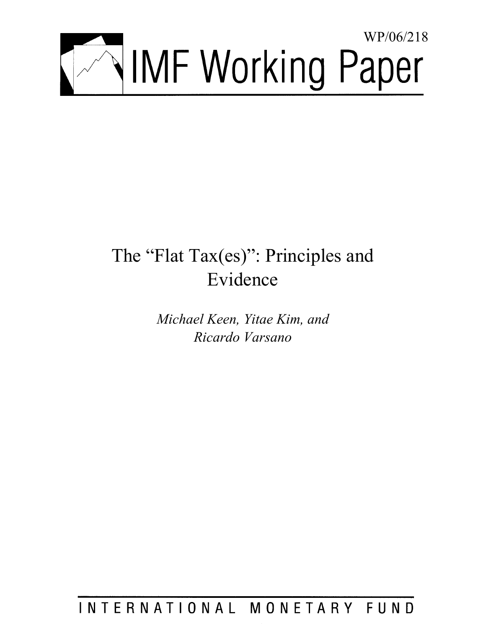

# The "Flat Tax(es)": Principles and Evidence

*Michael Keen, Yitae Kim, and Ricardo Varsano* 

INTERNATIONAL MONETARY FUND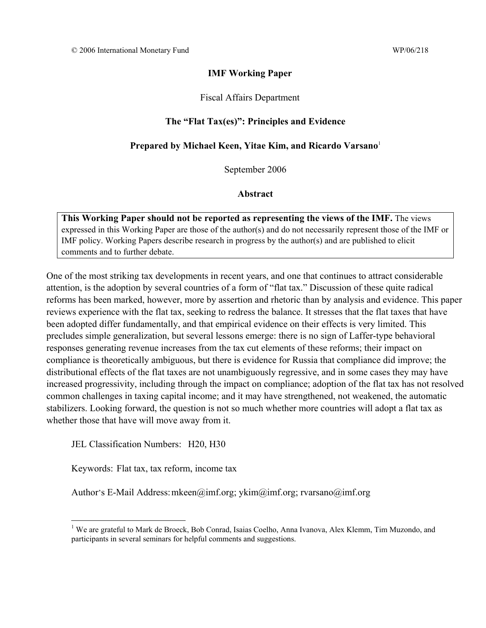## **IMF Working Paper**

#### Fiscal Affairs Department

## **The "Flat Tax(es)": Principles and Evidence**

## **Prepared by Michael Keen, Yitae Kim, and Ricardo Varsano**<sup>1</sup>

September 2006

#### **Abstract**

**This Working Paper should not be reported as representing the views of the IMF.** The views expressed in this Working Paper are those of the author(s) and do not necessarily represent those of the IMF or IMF policy. Working Papers describe research in progress by the author(s) and are published to elicit comments and to further debate.

One of the most striking tax developments in recent years, and one that continues to attract considerable attention, is the adoption by several countries of a form of "flat tax." Discussion of these quite radical reforms has been marked, however, more by assertion and rhetoric than by analysis and evidence. This paper reviews experience with the flat tax, seeking to redress the balance. It stresses that the flat taxes that have been adopted differ fundamentally, and that empirical evidence on their effects is very limited. This precludes simple generalization, but several lessons emerge: there is no sign of Laffer-type behavioral responses generating revenue increases from the tax cut elements of these reforms; their impact on compliance is theoretically ambiguous, but there is evidence for Russia that compliance did improve; the distributional effects of the flat taxes are not unambiguously regressive, and in some cases they may have increased progressivity, including through the impact on compliance; adoption of the flat tax has not resolved common challenges in taxing capital income; and it may have strengthened, not weakened, the automatic stabilizers. Looking forward, the question is not so much whether more countries will adopt a flat tax as whether those that have will move away from it.

JEL Classification Numbers: H20, H30

 $\overline{a}$ 

Keywords: Flat tax, tax reform, income tax

Author's E-Mail Address: mkeen@imf.org; ykim@imf.org; rvarsano@imf.org

<sup>&</sup>lt;sup>1</sup> We are grateful to Mark de Broeck, Bob Conrad, Isaias Coelho, Anna Ivanova, Alex Klemm, Tim Muzondo, and participants in several seminars for helpful comments and suggestions.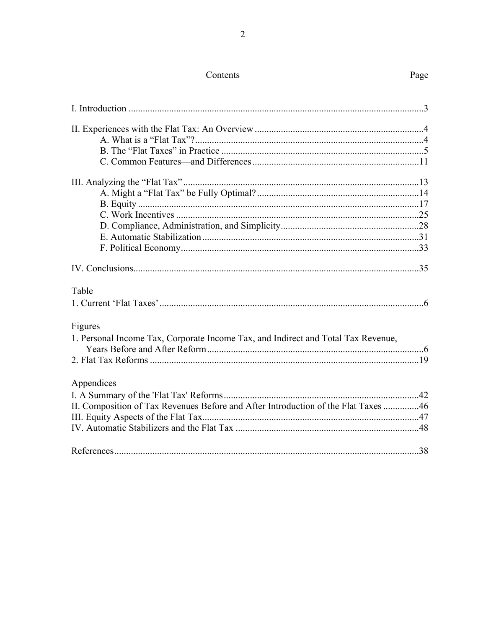| Table                                                                              |  |
|------------------------------------------------------------------------------------|--|
|                                                                                    |  |
| Figures                                                                            |  |
| 1. Personal Income Tax, Corporate Income Tax, and Indirect and Total Tax Revenue,  |  |
|                                                                                    |  |
|                                                                                    |  |
| Appendices                                                                         |  |
|                                                                                    |  |
| II. Composition of Tax Revenues Before and After Introduction of the Flat Taxes 46 |  |
|                                                                                    |  |
|                                                                                    |  |
|                                                                                    |  |
|                                                                                    |  |

Page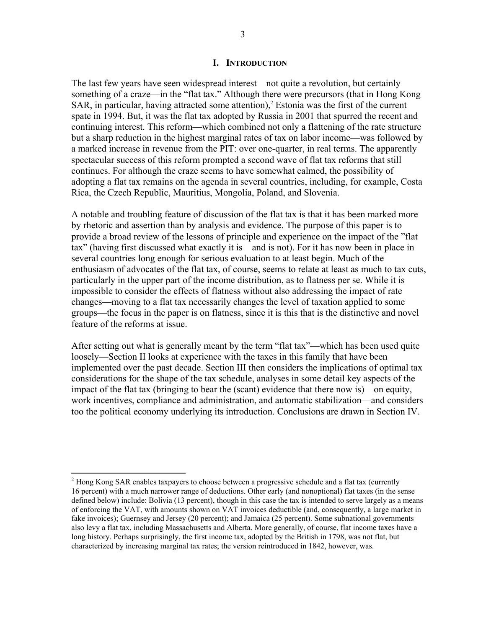#### **I. INTRODUCTION**

The last few years have seen widespread interest—not quite a revolution, but certainly something of a craze—in the "flat tax." Although there were precursors (that in Hong Kong SAR, in particular, having attracted some attention), $2$  Estonia was the first of the current spate in 1994. But, it was the flat tax adopted by Russia in 2001 that spurred the recent and continuing interest. This reform—which combined not only a flattening of the rate structure but a sharp reduction in the highest marginal rates of tax on labor income—was followed by a marked increase in revenue from the PIT: over one-quarter, in real terms. The apparently spectacular success of this reform prompted a second wave of flat tax reforms that still continues. For although the craze seems to have somewhat calmed, the possibility of adopting a flat tax remains on the agenda in several countries, including, for example, Costa Rica, the Czech Republic, Mauritius, Mongolia, Poland, and Slovenia.

A notable and troubling feature of discussion of the flat tax is that it has been marked more by rhetoric and assertion than by analysis and evidence. The purpose of this paper is to provide a broad review of the lessons of principle and experience on the impact of the "flat tax" (having first discussed what exactly it is—and is not). For it has now been in place in several countries long enough for serious evaluation to at least begin. Much of the enthusiasm of advocates of the flat tax, of course, seems to relate at least as much to tax cuts, particularly in the upper part of the income distribution, as to flatness per se. While it is impossible to consider the effects of flatness without also addressing the impact of rate changes—moving to a flat tax necessarily changes the level of taxation applied to some groups—the focus in the paper is on flatness, since it is this that is the distinctive and novel feature of the reforms at issue.

After setting out what is generally meant by the term "flat tax"—which has been used quite loosely—Section II looks at experience with the taxes in this family that have been implemented over the past decade. Section III then considers the implications of optimal tax considerations for the shape of the tax schedule, analyses in some detail key aspects of the impact of the flat tax (bringing to bear the (scant) evidence that there now is)—on equity, work incentives, compliance and administration, and automatic stabilization—and considers too the political economy underlying its introduction. Conclusions are drawn in Section IV.

1

 $2^2$  Hong Kong SAR enables taxpayers to choose between a progressive schedule and a flat tax (currently 16 percent) with a much narrower range of deductions. Other early (and nonoptional) flat taxes (in the sense defined below) include: Bolivia (13 percent), though in this case the tax is intended to serve largely as a means of enforcing the VAT, with amounts shown on VAT invoices deductible (and, consequently, a large market in fake invoices); Guernsey and Jersey (20 percent); and Jamaica (25 percent). Some subnational governments also levy a flat tax, including Massachusetts and Alberta. More generally, of course, flat income taxes have a long history. Perhaps surprisingly, the first income tax, adopted by the British in 1798, was not flat, but characterized by increasing marginal tax rates; the version reintroduced in 1842, however, was.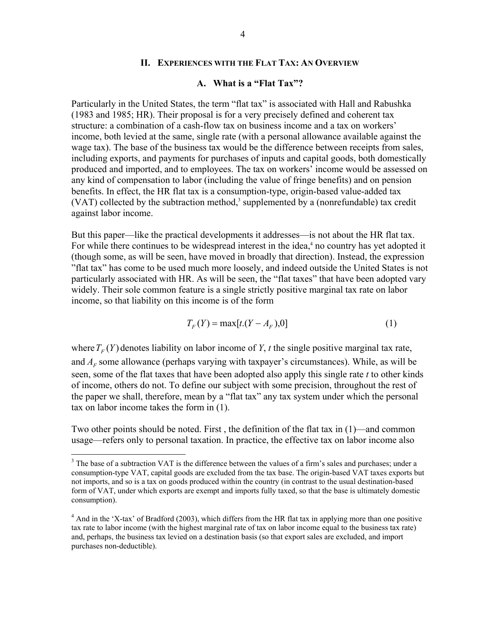#### **II. EXPERIENCES WITH THE FLAT TAX: AN OVERVIEW**

#### **A. What is a "Flat Tax"?**

Particularly in the United States, the term "flat tax" is associated with Hall and Rabushka (1983 and 1985; HR). Their proposal is for a very precisely defined and coherent tax structure: a combination of a cash-flow tax on business income and a tax on workers' income, both levied at the same, single rate (with a personal allowance available against the wage tax). The base of the business tax would be the difference between receipts from sales, including exports, and payments for purchases of inputs and capital goods, both domestically produced and imported, and to employees. The tax on workers' income would be assessed on any kind of compensation to labor (including the value of fringe benefits) and on pension benefits. In effect, the HR flat tax is a consumption-type, origin-based value-added tax  $(VAT)$  collected by the subtraction method,<sup>3</sup> supplemented by a (nonrefundable) tax credit against labor income.

But this paper—like the practical developments it addresses—is not about the HR flat tax. For while there continues to be widespread interest in the idea,<sup>4</sup> no country has yet adopted it (though some, as will be seen, have moved in broadly that direction). Instead, the expression "flat tax" has come to be used much more loosely, and indeed outside the United States is not particularly associated with HR. As will be seen, the "flat taxes" that have been adopted vary widely. Their sole common feature is a single strictly positive marginal tax rate on labor income, so that liability on this income is of the form

$$
T_F(Y) = \max[t.(Y - A_F), 0]
$$
 (1)

where  $T_F(Y)$  denotes liability on labor income of *Y*, *t* the single positive marginal tax rate, and  $A_F$  some allowance (perhaps varying with taxpayer's circumstances). While, as will be seen, some of the flat taxes that have been adopted also apply this single rate *t* to other kinds of income, others do not. To define our subject with some precision, throughout the rest of the paper we shall, therefore, mean by a "flat tax" any tax system under which the personal tax on labor income takes the form in (1).

Two other points should be noted. First , the definition of the flat tax in (1)—and common usage—refers only to personal taxation. In practice, the effective tax on labor income also

<u>.</u>

 $3$  The base of a subtraction VAT is the difference between the values of a firm's sales and purchases; under a consumption-type VAT, capital goods are excluded from the tax base. The origin-based VAT taxes exports but not imports, and so is a tax on goods produced within the country (in contrast to the usual destination-based form of VAT, under which exports are exempt and imports fully taxed, so that the base is ultimately domestic consumption).

<sup>&</sup>lt;sup>4</sup> And in the 'X-tax' of Bradford (2003), which differs from the HR flat tax in applying more than one positive tax rate to labor income (with the highest marginal rate of tax on labor income equal to the business tax rate) and, perhaps, the business tax levied on a destination basis (so that export sales are excluded, and import purchases non-deductible).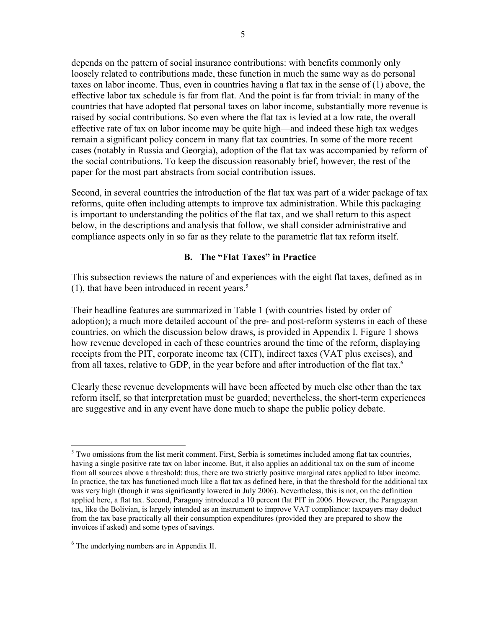depends on the pattern of social insurance contributions: with benefits commonly only loosely related to contributions made, these function in much the same way as do personal taxes on labor income. Thus, even in countries having a flat tax in the sense of (1) above, the effective labor tax schedule is far from flat. And the point is far from trivial: in many of the countries that have adopted flat personal taxes on labor income, substantially more revenue is raised by social contributions. So even where the flat tax is levied at a low rate, the overall effective rate of tax on labor income may be quite high—and indeed these high tax wedges remain a significant policy concern in many flat tax countries. In some of the more recent cases (notably in Russia and Georgia), adoption of the flat tax was accompanied by reform of the social contributions. To keep the discussion reasonably brief, however, the rest of the paper for the most part abstracts from social contribution issues.

Second, in several countries the introduction of the flat tax was part of a wider package of tax reforms, quite often including attempts to improve tax administration. While this packaging is important to understanding the politics of the flat tax, and we shall return to this aspect below, in the descriptions and analysis that follow, we shall consider administrative and compliance aspects only in so far as they relate to the parametric flat tax reform itself.

# **B. The "Flat Taxes" in Practice**

This subsection reviews the nature of and experiences with the eight flat taxes, defined as in  $(1)$ , that have been introduced in recent years.<sup>5</sup>

Their headline features are summarized in Table 1 (with countries listed by order of adoption); a much more detailed account of the pre- and post-reform systems in each of these countries, on which the discussion below draws, is provided in Appendix I. Figure 1 shows how revenue developed in each of these countries around the time of the reform, displaying receipts from the PIT, corporate income tax (CIT), indirect taxes (VAT plus excises), and from all taxes, relative to GDP, in the year before and after introduction of the flat tax.<sup>6</sup>

Clearly these revenue developments will have been affected by much else other than the tax reform itself, so that interpretation must be guarded; nevertheless, the short-term experiences are suggestive and in any event have done much to shape the public policy debate.

 $\overline{a}$  $<sup>5</sup>$  Two omissions from the list merit comment. First, Serbia is sometimes included among flat tax countries,</sup> having a single positive rate tax on labor income. But, it also applies an additional tax on the sum of income from all sources above a threshold: thus, there are two strictly positive marginal rates applied to labor income. In practice, the tax has functioned much like a flat tax as defined here, in that the threshold for the additional tax was very high (though it was significantly lowered in July 2006). Nevertheless, this is not, on the definition applied here, a flat tax. Second, Paraguay introduced a 10 percent flat PIT in 2006. However, the Paraguayan tax, like the Bolivian, is largely intended as an instrument to improve VAT compliance: taxpayers may deduct from the tax base practically all their consumption expenditures (provided they are prepared to show the invoices if asked) and some types of savings.

<sup>&</sup>lt;sup>6</sup> The underlying numbers are in Appendix II.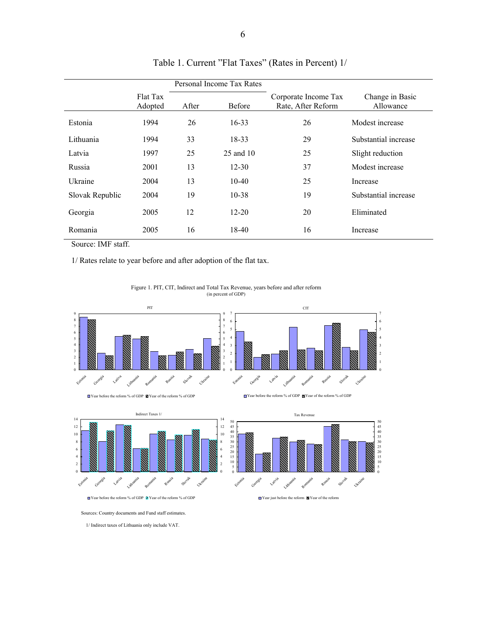|                                                 |                     |       | Personal Income Tax Rates |                                            |                              |
|-------------------------------------------------|---------------------|-------|---------------------------|--------------------------------------------|------------------------------|
|                                                 | Flat Tax<br>Adopted | After | <b>Before</b>             | Corporate Income Tax<br>Rate, After Reform | Change in Basic<br>Allowance |
| Estonia                                         | 1994                | 26    | $16 - 33$                 | 26                                         | Modest increase              |
| Lithuania                                       | 1994                | 33    | 18-33                     | 29                                         | Substantial increase         |
| Latvia                                          | 1997                | 25    | 25 and 10                 | 25                                         | Slight reduction             |
| Russia                                          | 2001                | 13    | $12 - 30$                 | 37                                         | Modest increase              |
| Ukraine                                         | 2004                | 13    | 10-40                     | 25                                         | Increase                     |
| Slovak Republic                                 | 2004                | 19    | $10 - 38$                 | 19                                         | Substantial increase         |
| Georgia                                         | 2005                | 12    | $12 - 20$                 | 20                                         | Eliminated                   |
| Romania<br>$\sim$ 00<br>$\sim$<br><b>TA CTA</b> | 2005                | 16    | 18-40                     | 16                                         | Increase                     |

# Table 1. Current "Flat Taxes" (Rates in Percent) 1/

Source: IMF staff.

1/ Rates relate to year before and after adoption of the flat tax.



Figure 1. PIT, CIT, Indirect and Total Tax Revenue, years before and after reform (in percent of GDP)

■ Year before the reform % of GDP ■ Year of the reform % of GDP

■ Year before the reform % of GDP ■ Year of the reform % of GDP





1/ Indirect taxes of Lithuania only include VAT.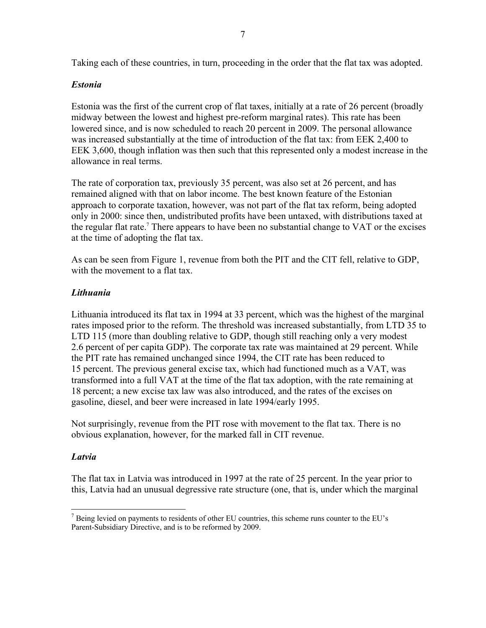Taking each of these countries, in turn, proceeding in the order that the flat tax was adopted.

# *Estonia*

Estonia was the first of the current crop of flat taxes, initially at a rate of 26 percent (broadly midway between the lowest and highest pre-reform marginal rates). This rate has been lowered since, and is now scheduled to reach 20 percent in 2009. The personal allowance was increased substantially at the time of introduction of the flat tax: from EEK 2,400 to EEK 3,600, though inflation was then such that this represented only a modest increase in the allowance in real terms.

The rate of corporation tax, previously 35 percent, was also set at 26 percent, and has remained aligned with that on labor income. The best known feature of the Estonian approach to corporate taxation, however, was not part of the flat tax reform, being adopted only in 2000: since then, undistributed profits have been untaxed, with distributions taxed at the regular flat rate.<sup>7</sup> There appears to have been no substantial change to VAT or the excises at the time of adopting the flat tax.

As can be seen from Figure 1, revenue from both the PIT and the CIT fell, relative to GDP, with the movement to a flat tax.

# *Lithuania*

Lithuania introduced its flat tax in 1994 at 33 percent, which was the highest of the marginal rates imposed prior to the reform. The threshold was increased substantially, from LTD 35 to LTD 115 (more than doubling relative to GDP, though still reaching only a very modest 2.6 percent of per capita GDP). The corporate tax rate was maintained at 29 percent. While the PIT rate has remained unchanged since 1994, the CIT rate has been reduced to 15 percent. The previous general excise tax, which had functioned much as a VAT, was transformed into a full VAT at the time of the flat tax adoption, with the rate remaining at 18 percent; a new excise tax law was also introduced, and the rates of the excises on gasoline, diesel, and beer were increased in late 1994/early 1995.

Not surprisingly, revenue from the PIT rose with movement to the flat tax. There is no obvious explanation, however, for the marked fall in CIT revenue.

# *Latvia*

 $\overline{a}$ 

The flat tax in Latvia was introduced in 1997 at the rate of 25 percent. In the year prior to this, Latvia had an unusual degressive rate structure (one, that is, under which the marginal

 $<sup>7</sup>$  Being levied on payments to residents of other EU countries, this scheme runs counter to the EU's</sup> Parent-Subsidiary Directive, and is to be reformed by 2009.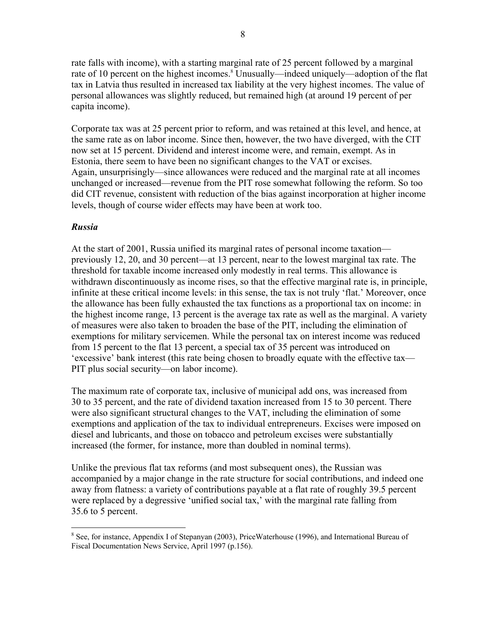rate falls with income), with a starting marginal rate of 25 percent followed by a marginal rate of 10 percent on the highest incomes.<sup>8</sup> Unusually—indeed uniquely—adoption of the flat tax in Latvia thus resulted in increased tax liability at the very highest incomes. The value of personal allowances was slightly reduced, but remained high (at around 19 percent of per capita income).

Corporate tax was at 25 percent prior to reform, and was retained at this level, and hence, at the same rate as on labor income. Since then, however, the two have diverged, with the CIT now set at 15 percent. Dividend and interest income were, and remain, exempt. As in Estonia, there seem to have been no significant changes to the VAT or excises. Again, unsurprisingly—since allowances were reduced and the marginal rate at all incomes unchanged or increased—revenue from the PIT rose somewhat following the reform. So too did CIT revenue, consistent with reduction of the bias against incorporation at higher income levels, though of course wider effects may have been at work too.

## *Russia*

At the start of 2001, Russia unified its marginal rates of personal income taxation previously 12, 20, and 30 percent—at 13 percent, near to the lowest marginal tax rate. The threshold for taxable income increased only modestly in real terms. This allowance is withdrawn discontinuously as income rises, so that the effective marginal rate is, in principle, infinite at these critical income levels: in this sense, the tax is not truly 'flat.' Moreover, once the allowance has been fully exhausted the tax functions as a proportional tax on income: in the highest income range, 13 percent is the average tax rate as well as the marginal. A variety of measures were also taken to broaden the base of the PIT, including the elimination of exemptions for military servicemen. While the personal tax on interest income was reduced from 15 percent to the flat 13 percent, a special tax of 35 percent was introduced on 'excessive' bank interest (this rate being chosen to broadly equate with the effective tax— PIT plus social security—on labor income).

The maximum rate of corporate tax, inclusive of municipal add ons, was increased from 30 to 35 percent, and the rate of dividend taxation increased from 15 to 30 percent. There were also significant structural changes to the VAT, including the elimination of some exemptions and application of the tax to individual entrepreneurs. Excises were imposed on diesel and lubricants, and those on tobacco and petroleum excises were substantially increased (the former, for instance, more than doubled in nominal terms).

Unlike the previous flat tax reforms (and most subsequent ones), the Russian was accompanied by a major change in the rate structure for social contributions, and indeed one away from flatness: a variety of contributions payable at a flat rate of roughly 39.5 percent were replaced by a degressive 'unified social tax,' with the marginal rate falling from 35.6 to 5 percent.

 $\overline{a}$ <sup>8</sup> See, for instance, Appendix I of Stepanyan (2003), PriceWaterhouse (1996), and International Bureau of Fiscal Documentation News Service, April 1997 (p.156).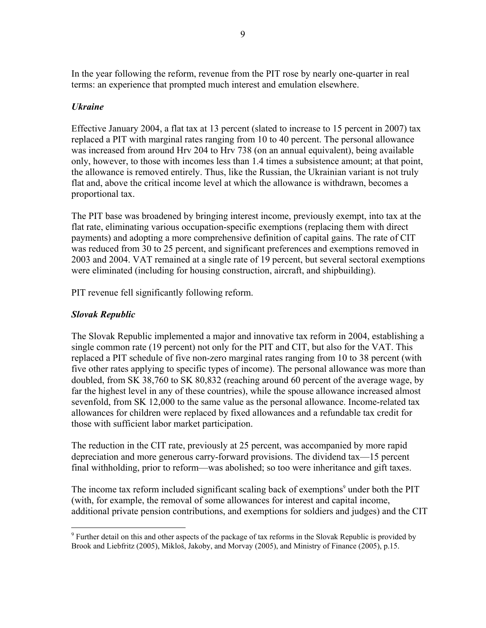In the year following the reform, revenue from the PIT rose by nearly one-quarter in real terms: an experience that prompted much interest and emulation elsewhere.

# *Ukraine*

Effective January 2004, a flat tax at 13 percent (slated to increase to 15 percent in 2007) tax replaced a PIT with marginal rates ranging from 10 to 40 percent. The personal allowance was increased from around Hrv 204 to Hrv 738 (on an annual equivalent), being available only, however, to those with incomes less than 1.4 times a subsistence amount; at that point, the allowance is removed entirely. Thus, like the Russian, the Ukrainian variant is not truly flat and, above the critical income level at which the allowance is withdrawn, becomes a proportional tax.

The PIT base was broadened by bringing interest income, previously exempt, into tax at the flat rate, eliminating various occupation-specific exemptions (replacing them with direct payments) and adopting a more comprehensive definition of capital gains. The rate of CIT was reduced from 30 to 25 percent, and significant preferences and exemptions removed in 2003 and 2004. VAT remained at a single rate of 19 percent, but several sectoral exemptions were eliminated (including for housing construction, aircraft, and shipbuilding).

PIT revenue fell significantly following reform.

# *Slovak Republic*

The Slovak Republic implemented a major and innovative tax reform in 2004, establishing a single common rate (19 percent) not only for the PIT and CIT, but also for the VAT. This replaced a PIT schedule of five non-zero marginal rates ranging from 10 to 38 percent (with five other rates applying to specific types of income). The personal allowance was more than doubled, from SK 38,760 to SK 80,832 (reaching around 60 percent of the average wage, by far the highest level in any of these countries), while the spouse allowance increased almost sevenfold, from SK 12,000 to the same value as the personal allowance. Income-related tax allowances for children were replaced by fixed allowances and a refundable tax credit for those with sufficient labor market participation.

The reduction in the CIT rate, previously at 25 percent, was accompanied by more rapid depreciation and more generous carry-forward provisions. The dividend tax—15 percent final withholding, prior to reform—was abolished; so too were inheritance and gift taxes.

The income tax reform included significant scaling back of exemptions<sup>9</sup> under both the PIT (with, for example, the removal of some allowances for interest and capital income, additional private pension contributions, and exemptions for soldiers and judges) and the CIT

 $\overline{a}$ <sup>9</sup> Further detail on this and other aspects of the package of tax reforms in the Slovak Republic is provided by Brook and Liebfritz (2005), Mikloš, Jakoby, and Morvay (2005), and Ministry of Finance (2005), p.15.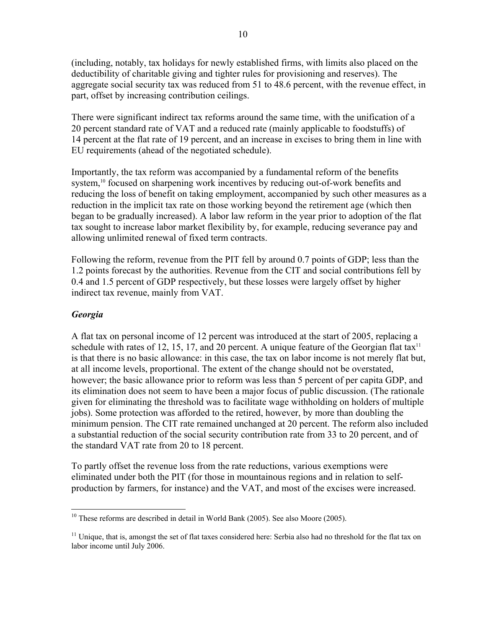(including, notably, tax holidays for newly established firms, with limits also placed on the deductibility of charitable giving and tighter rules for provisioning and reserves). The aggregate social security tax was reduced from 51 to 48.6 percent, with the revenue effect, in part, offset by increasing contribution ceilings.

There were significant indirect tax reforms around the same time, with the unification of a 20 percent standard rate of VAT and a reduced rate (mainly applicable to foodstuffs) of 14 percent at the flat rate of 19 percent, and an increase in excises to bring them in line with EU requirements (ahead of the negotiated schedule).

Importantly, the tax reform was accompanied by a fundamental reform of the benefits system,<sup>10</sup> focused on sharpening work incentives by reducing out-of-work benefits and reducing the loss of benefit on taking employment, accompanied by such other measures as a reduction in the implicit tax rate on those working beyond the retirement age (which then began to be gradually increased). A labor law reform in the year prior to adoption of the flat tax sought to increase labor market flexibility by, for example, reducing severance pay and allowing unlimited renewal of fixed term contracts.

Following the reform, revenue from the PIT fell by around 0.7 points of GDP; less than the 1.2 points forecast by the authorities. Revenue from the CIT and social contributions fell by 0.4 and 1.5 percent of GDP respectively, but these losses were largely offset by higher indirect tax revenue, mainly from VAT.

# *Georgia*

A flat tax on personal income of 12 percent was introduced at the start of 2005, replacing a schedule with rates of 12, 15, 17, and 20 percent. A unique feature of the Georgian flat tax<sup>11</sup> is that there is no basic allowance: in this case, the tax on labor income is not merely flat but, at all income levels, proportional. The extent of the change should not be overstated, however; the basic allowance prior to reform was less than 5 percent of per capita GDP, and its elimination does not seem to have been a major focus of public discussion. (The rationale given for eliminating the threshold was to facilitate wage withholding on holders of multiple jobs). Some protection was afforded to the retired, however, by more than doubling the minimum pension. The CIT rate remained unchanged at 20 percent. The reform also included a substantial reduction of the social security contribution rate from 33 to 20 percent, and of the standard VAT rate from 20 to 18 percent.

To partly offset the revenue loss from the rate reductions, various exemptions were eliminated under both the PIT (for those in mountainous regions and in relation to selfproduction by farmers, for instance) and the VAT, and most of the excises were increased.

<sup>&</sup>lt;u>.</u> <sup>10</sup> These reforms are described in detail in World Bank (2005). See also Moore (2005).

<sup>&</sup>lt;sup>11</sup> Unique, that is, amongst the set of flat taxes considered here: Serbia also had no threshold for the flat tax on labor income until July 2006.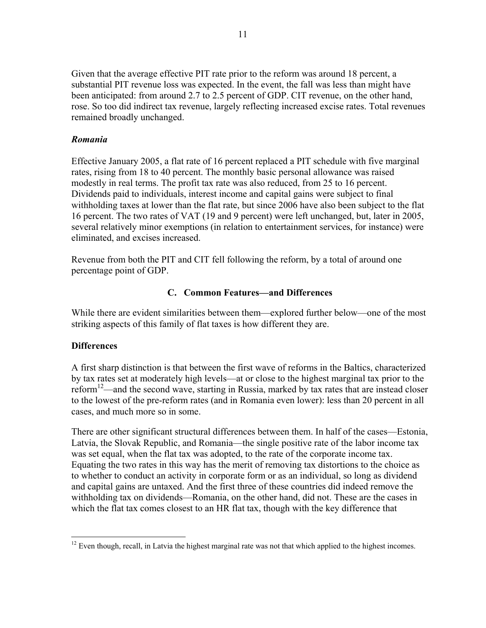Given that the average effective PIT rate prior to the reform was around 18 percent, a substantial PIT revenue loss was expected. In the event, the fall was less than might have been anticipated: from around 2.7 to 2.5 percent of GDP. CIT revenue, on the other hand, rose. So too did indirect tax revenue, largely reflecting increased excise rates. Total revenues remained broadly unchanged.

## *Romania*

Effective January 2005, a flat rate of 16 percent replaced a PIT schedule with five marginal rates, rising from 18 to 40 percent. The monthly basic personal allowance was raised modestly in real terms. The profit tax rate was also reduced, from 25 to 16 percent. Dividends paid to individuals, interest income and capital gains were subject to final withholding taxes at lower than the flat rate, but since 2006 have also been subject to the flat 16 percent. The two rates of VAT (19 and 9 percent) were left unchanged, but, later in 2005, several relatively minor exemptions (in relation to entertainment services, for instance) were eliminated, and excises increased.

Revenue from both the PIT and CIT fell following the reform, by a total of around one percentage point of GDP.

## **C. Common Features—and Differences**

While there are evident similarities between them—explored further below—one of the most striking aspects of this family of flat taxes is how different they are.

# **Differences**

A first sharp distinction is that between the first wave of reforms in the Baltics, characterized by tax rates set at moderately high levels—at or close to the highest marginal tax prior to the reform<sup>12</sup>—and the second wave, starting in Russia, marked by tax rates that are instead closer to the lowest of the pre-reform rates (and in Romania even lower): less than 20 percent in all cases, and much more so in some.

There are other significant structural differences between them. In half of the cases—Estonia, Latvia, the Slovak Republic, and Romania—the single positive rate of the labor income tax was set equal, when the flat tax was adopted, to the rate of the corporate income tax. Equating the two rates in this way has the merit of removing tax distortions to the choice as to whether to conduct an activity in corporate form or as an individual, so long as dividend and capital gains are untaxed. And the first three of these countries did indeed remove the withholding tax on dividends—Romania, on the other hand, did not. These are the cases in which the flat tax comes closest to an HR flat tax, though with the key difference that

 $\overline{a}$  $12$  Even though, recall, in Latvia the highest marginal rate was not that which applied to the highest incomes.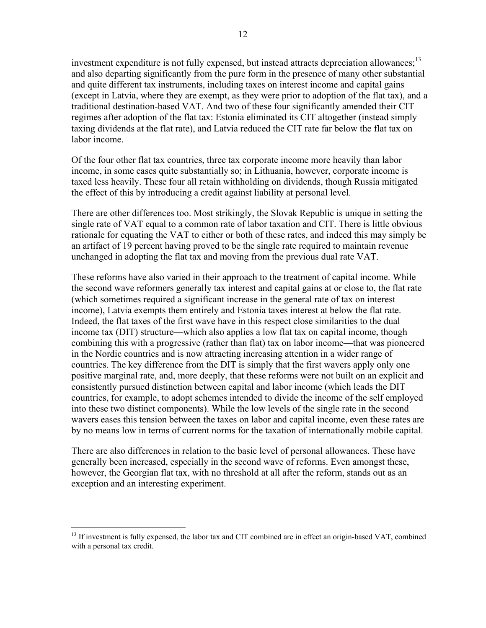investment expenditure is not fully expensed, but instead attracts depreciation allowances;<sup>13</sup> and also departing significantly from the pure form in the presence of many other substantial and quite different tax instruments, including taxes on interest income and capital gains (except in Latvia, where they are exempt, as they were prior to adoption of the flat tax), and a traditional destination-based VAT. And two of these four significantly amended their CIT regimes after adoption of the flat tax: Estonia eliminated its CIT altogether (instead simply taxing dividends at the flat rate), and Latvia reduced the CIT rate far below the flat tax on labor income.

Of the four other flat tax countries, three tax corporate income more heavily than labor income, in some cases quite substantially so; in Lithuania, however, corporate income is taxed less heavily. These four all retain withholding on dividends, though Russia mitigated the effect of this by introducing a credit against liability at personal level.

There are other differences too. Most strikingly, the Slovak Republic is unique in setting the single rate of VAT equal to a common rate of labor taxation and CIT. There is little obvious rationale for equating the VAT to either or both of these rates, and indeed this may simply be an artifact of 19 percent having proved to be the single rate required to maintain revenue unchanged in adopting the flat tax and moving from the previous dual rate VAT.

These reforms have also varied in their approach to the treatment of capital income. While the second wave reformers generally tax interest and capital gains at or close to, the flat rate (which sometimes required a significant increase in the general rate of tax on interest income), Latvia exempts them entirely and Estonia taxes interest at below the flat rate. Indeed, the flat taxes of the first wave have in this respect close similarities to the dual income tax (DIT) structure—which also applies a low flat tax on capital income, though combining this with a progressive (rather than flat) tax on labor income—that was pioneered in the Nordic countries and is now attracting increasing attention in a wider range of countries. The key difference from the DIT is simply that the first wavers apply only one positive marginal rate, and, more deeply, that these reforms were not built on an explicit and consistently pursued distinction between capital and labor income (which leads the DIT countries, for example, to adopt schemes intended to divide the income of the self employed into these two distinct components). While the low levels of the single rate in the second wavers eases this tension between the taxes on labor and capital income, even these rates are by no means low in terms of current norms for the taxation of internationally mobile capital.

There are also differences in relation to the basic level of personal allowances. These have generally been increased, especially in the second wave of reforms. Even amongst these, however, the Georgian flat tax, with no threshold at all after the reform, stands out as an exception and an interesting experiment.

1

<sup>&</sup>lt;sup>13</sup> If investment is fully expensed, the labor tax and CIT combined are in effect an origin-based VAT, combined with a personal tax credit.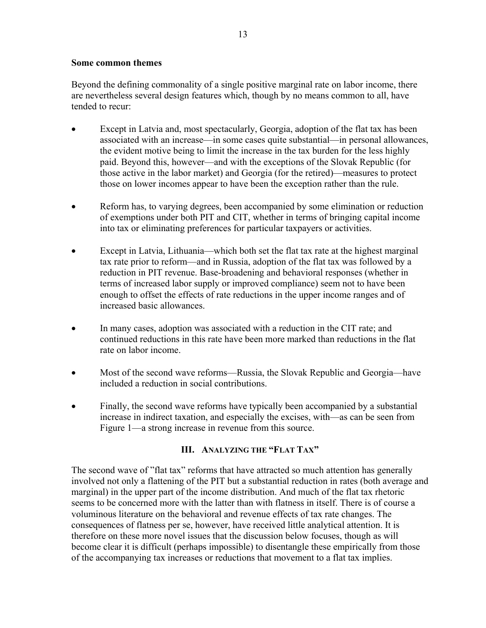#### **Some common themes**

Beyond the defining commonality of a single positive marginal rate on labor income, there are nevertheless several design features which, though by no means common to all, have tended to recur:

- Except in Latvia and, most spectacularly, Georgia, adoption of the flat tax has been associated with an increase—in some cases quite substantial—in personal allowances, the evident motive being to limit the increase in the tax burden for the less highly paid. Beyond this, however—and with the exceptions of the Slovak Republic (for those active in the labor market) and Georgia (for the retired)—measures to protect those on lower incomes appear to have been the exception rather than the rule.
- Reform has, to varying degrees, been accompanied by some elimination or reduction of exemptions under both PIT and CIT, whether in terms of bringing capital income into tax or eliminating preferences for particular taxpayers or activities.
- Except in Latvia, Lithuania—which both set the flat tax rate at the highest marginal tax rate prior to reform—and in Russia, adoption of the flat tax was followed by a reduction in PIT revenue. Base-broadening and behavioral responses (whether in terms of increased labor supply or improved compliance) seem not to have been enough to offset the effects of rate reductions in the upper income ranges and of increased basic allowances.
- In many cases, adoption was associated with a reduction in the CIT rate; and continued reductions in this rate have been more marked than reductions in the flat rate on labor income.
- Most of the second wave reforms—Russia, the Slovak Republic and Georgia—have included a reduction in social contributions.
- Finally, the second wave reforms have typically been accompanied by a substantial increase in indirect taxation, and especially the excises, with—as can be seen from Figure 1—a strong increase in revenue from this source.

#### **III. ANALYZING THE "FLAT TAX"**

The second wave of "flat tax" reforms that have attracted so much attention has generally involved not only a flattening of the PIT but a substantial reduction in rates (both average and marginal) in the upper part of the income distribution. And much of the flat tax rhetoric seems to be concerned more with the latter than with flatness in itself. There is of course a voluminous literature on the behavioral and revenue effects of tax rate changes. The consequences of flatness per se, however, have received little analytical attention. It is therefore on these more novel issues that the discussion below focuses, though as will become clear it is difficult (perhaps impossible) to disentangle these empirically from those of the accompanying tax increases or reductions that movement to a flat tax implies.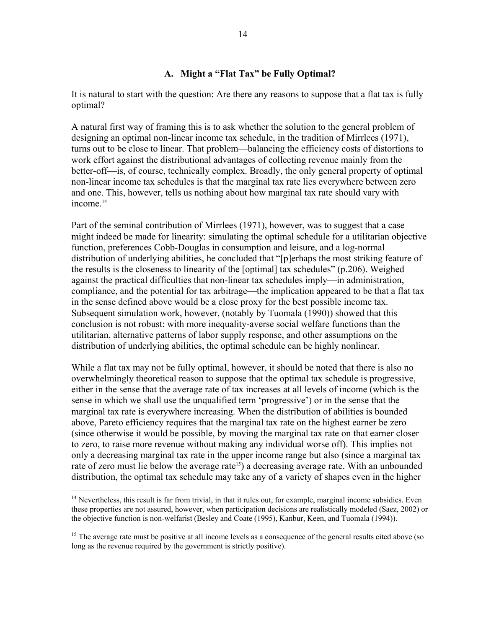#### **A. Might a "Flat Tax" be Fully Optimal?**

It is natural to start with the question: Are there any reasons to suppose that a flat tax is fully optimal?

A natural first way of framing this is to ask whether the solution to the general problem of designing an optimal non-linear income tax schedule, in the tradition of Mirrlees (1971), turns out to be close to linear. That problem—balancing the efficiency costs of distortions to work effort against the distributional advantages of collecting revenue mainly from the better-off—is, of course, technically complex. Broadly, the only general property of optimal non-linear income tax schedules is that the marginal tax rate lies everywhere between zero and one. This, however, tells us nothing about how marginal tax rate should vary with income.<sup>14</sup>

Part of the seminal contribution of Mirrlees (1971), however, was to suggest that a case might indeed be made for linearity: simulating the optimal schedule for a utilitarian objective function, preferences Cobb-Douglas in consumption and leisure, and a log-normal distribution of underlying abilities, he concluded that "[p]erhaps the most striking feature of the results is the closeness to linearity of the [optimal] tax schedules" (p.206). Weighed against the practical difficulties that non-linear tax schedules imply—in administration, compliance, and the potential for tax arbitrage—the implication appeared to be that a flat tax in the sense defined above would be a close proxy for the best possible income tax. Subsequent simulation work, however, (notably by Tuomala (1990)) showed that this conclusion is not robust: with more inequality-averse social welfare functions than the utilitarian, alternative patterns of labor supply response, and other assumptions on the distribution of underlying abilities, the optimal schedule can be highly nonlinear.

While a flat tax may not be fully optimal, however, it should be noted that there is also no overwhelmingly theoretical reason to suppose that the optimal tax schedule is progressive, either in the sense that the average rate of tax increases at all levels of income (which is the sense in which we shall use the unqualified term 'progressive') or in the sense that the marginal tax rate is everywhere increasing. When the distribution of abilities is bounded above, Pareto efficiency requires that the marginal tax rate on the highest earner be zero (since otherwise it would be possible, by moving the marginal tax rate on that earner closer to zero, to raise more revenue without making any individual worse off). This implies not only a decreasing marginal tax rate in the upper income range but also (since a marginal tax rate of zero must lie below the average rate<sup>15</sup>) a decreasing average rate. With an unbounded distribution, the optimal tax schedule may take any of a variety of shapes even in the higher

 $\overline{a}$ 

 $14$  Nevertheless, this result is far from trivial, in that it rules out, for example, marginal income subsidies. Even these properties are not assured, however, when participation decisions are realistically modeled (Saez, 2002) or the objective function is non-welfarist (Besley and Coate (1995), Kanbur, Keen, and Tuomala (1994)).

<sup>&</sup>lt;sup>15</sup> The average rate must be positive at all income levels as a consequence of the general results cited above (so long as the revenue required by the government is strictly positive).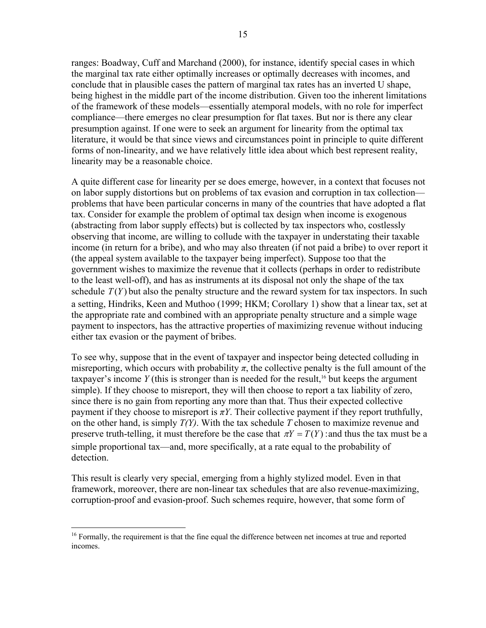ranges: Boadway, Cuff and Marchand (2000), for instance, identify special cases in which the marginal tax rate either optimally increases or optimally decreases with incomes, and conclude that in plausible cases the pattern of marginal tax rates has an inverted U shape, being highest in the middle part of the income distribution. Given too the inherent limitations of the framework of these models—essentially atemporal models, with no role for imperfect compliance—there emerges no clear presumption for flat taxes. But nor is there any clear presumption against. If one were to seek an argument for linearity from the optimal tax literature, it would be that since views and circumstances point in principle to quite different forms of non-linearity, and we have relatively little idea about which best represent reality, linearity may be a reasonable choice.

A quite different case for linearity per se does emerge, however, in a context that focuses not on labor supply distortions but on problems of tax evasion and corruption in tax collection problems that have been particular concerns in many of the countries that have adopted a flat tax. Consider for example the problem of optimal tax design when income is exogenous (abstracting from labor supply effects) but is collected by tax inspectors who, costlessly observing that income, are willing to collude with the taxpayer in understating their taxable income (in return for a bribe), and who may also threaten (if not paid a bribe) to over report it (the appeal system available to the taxpayer being imperfect). Suppose too that the government wishes to maximize the revenue that it collects (perhaps in order to redistribute to the least well-off), and has as instruments at its disposal not only the shape of the tax schedule  $T(Y)$  but also the penalty structure and the reward system for tax inspectors. In such a setting, Hindriks, Keen and Muthoo (1999; HKM; Corollary 1) show that a linear tax, set at the appropriate rate and combined with an appropriate penalty structure and a simple wage payment to inspectors, has the attractive properties of maximizing revenue without inducing either tax evasion or the payment of bribes.

To see why, suppose that in the event of taxpayer and inspector being detected colluding in misreporting, which occurs with probability  $\pi$ , the collective penalty is the full amount of the taxpayer's income  $Y$  (this is stronger than is needed for the result,<sup>16</sup> but keeps the argument simple). If they choose to misreport, they will then choose to report a tax liability of zero, since there is no gain from reporting any more than that. Thus their expected collective payment if they choose to misreport is  $\pi Y$ . Their collective payment if they report truthfully, on the other hand, is simply *T(Y)*. With the tax schedule *T* chosen to maximize revenue and preserve truth-telling, it must therefore be the case that  $\pi Y = T(Y)$ : and thus the tax must be a simple proportional tax—and, more specifically, at a rate equal to the probability of detection.

This result is clearly very special, emerging from a highly stylized model. Even in that framework, moreover, there are non-linear tax schedules that are also revenue-maximizing, corruption-proof and evasion-proof. Such schemes require, however, that some form of

 $\overline{a}$ <sup>16</sup> Formally, the requirement is that the fine equal the difference between net incomes at true and reported incomes.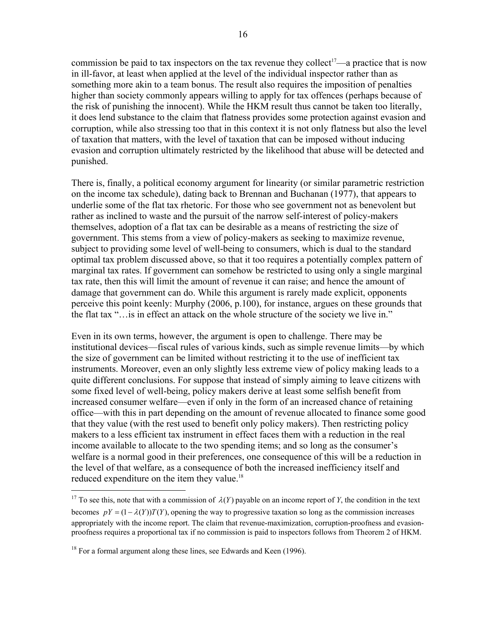commission be paid to tax inspectors on the tax revenue they collect<sup>17</sup>—a practice that is now in ill-favor, at least when applied at the level of the individual inspector rather than as something more akin to a team bonus. The result also requires the imposition of penalties higher than society commonly appears willing to apply for tax offences (perhaps because of the risk of punishing the innocent). While the HKM result thus cannot be taken too literally, it does lend substance to the claim that flatness provides some protection against evasion and corruption, while also stressing too that in this context it is not only flatness but also the level of taxation that matters, with the level of taxation that can be imposed without inducing evasion and corruption ultimately restricted by the likelihood that abuse will be detected and punished.

There is, finally, a political economy argument for linearity (or similar parametric restriction on the income tax schedule), dating back to Brennan and Buchanan (1977), that appears to underlie some of the flat tax rhetoric. For those who see government not as benevolent but rather as inclined to waste and the pursuit of the narrow self-interest of policy-makers themselves, adoption of a flat tax can be desirable as a means of restricting the size of government. This stems from a view of policy-makers as seeking to maximize revenue, subject to providing some level of well-being to consumers, which is dual to the standard optimal tax problem discussed above, so that it too requires a potentially complex pattern of marginal tax rates. If government can somehow be restricted to using only a single marginal tax rate, then this will limit the amount of revenue it can raise; and hence the amount of damage that government can do. While this argument is rarely made explicit, opponents perceive this point keenly: Murphy (2006, p.100), for instance, argues on these grounds that the flat tax "…is in effect an attack on the whole structure of the society we live in."

Even in its own terms, however, the argument is open to challenge. There may be institutional devices—fiscal rules of various kinds, such as simple revenue limits—by which the size of government can be limited without restricting it to the use of inefficient tax instruments. Moreover, even an only slightly less extreme view of policy making leads to a quite different conclusions. For suppose that instead of simply aiming to leave citizens with some fixed level of well-being, policy makers derive at least some selfish benefit from increased consumer welfare—even if only in the form of an increased chance of retaining office—with this in part depending on the amount of revenue allocated to finance some good that they value (with the rest used to benefit only policy makers). Then restricting policy makers to a less efficient tax instrument in effect faces them with a reduction in the real income available to allocate to the two spending items; and so long as the consumer's welfare is a normal good in their preferences, one consequence of this will be a reduction in the level of that welfare, as a consequence of both the increased inefficiency itself and reduced expenditure on the item they value.<sup>18</sup>

 $\overline{a}$ 

<sup>&</sup>lt;sup>17</sup> To see this, note that with a commission of  $\lambda(Y)$  payable on an income report of *Y*, the condition in the text becomes  $pY = (1 - \lambda(Y))T(Y)$ , opening the way to progressive taxation so long as the commission increases appropriately with the income report. The claim that revenue-maximization, corruption-proofness and evasionproofness requires a proportional tax if no commission is paid to inspectors follows from Theorem 2 of HKM.

<sup>&</sup>lt;sup>18</sup> For a formal argument along these lines, see Edwards and Keen (1996).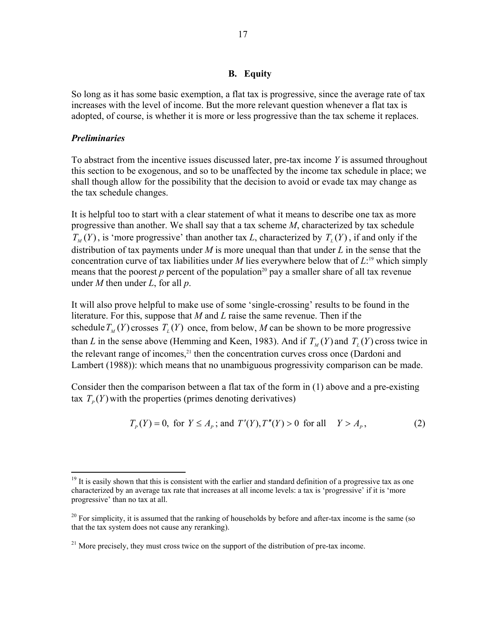#### **B. Equity**

So long as it has some basic exemption, a flat tax is progressive, since the average rate of tax increases with the level of income. But the more relevant question whenever a flat tax is adopted, of course, is whether it is more or less progressive than the tax scheme it replaces.

#### *Preliminaries*

 $\overline{a}$ 

To abstract from the incentive issues discussed later, pre-tax income *Y* is assumed throughout this section to be exogenous, and so to be unaffected by the income tax schedule in place; we shall though allow for the possibility that the decision to avoid or evade tax may change as the tax schedule changes.

It is helpful too to start with a clear statement of what it means to describe one tax as more progressive than another. We shall say that a tax scheme *M*, characterized by tax schedule  $T_{\nu}(Y)$ , is 'more progressive' than another tax *L*, characterized by  $T_{\nu}(Y)$ , if and only if the distribution of tax payments under *M* is more unequal than that under *L* in the sense that the concentration curve of tax liabilities under *M* lies everywhere below that of *L*: 19 which simply means that the poorest  $p$  percent of the population<sup>20</sup> pay a smaller share of all tax revenue under *M* then under *L*, for all *p*.

It will also prove helpful to make use of some 'single-crossing' results to be found in the literature. For this, suppose that *M* and *L* raise the same revenue. Then if the schedule  $T_{\nu}(Y)$  crosses  $T_{\nu}(Y)$  once, from below, M can be shown to be more progressive than *L* in the sense above (Hemming and Keen, 1983). And if  $T_u(Y)$  and  $T_u(Y)$  cross twice in the relevant range of incomes, $2<sup>1</sup>$  then the concentration curves cross once (Dardoni and Lambert (1988)): which means that no unambiguous progressivity comparison can be made.

Consider then the comparison between a flat tax of the form in (1) above and a pre-existing tax  $T_p(Y)$  with the properties (primes denoting derivatives)

$$
T_p(Y) = 0
$$
, for  $Y \le A_p$ ; and  $T'(Y), T''(Y) > 0$  for all  $Y > A_p$ , (2)

 $19$  It is easily shown that this is consistent with the earlier and standard definition of a progressive tax as one characterized by an average tax rate that increases at all income levels: a tax is 'progressive' if it is 'more progressive' than no tax at all.

 $20$  For simplicity, it is assumed that the ranking of households by before and after-tax income is the same (so that the tax system does not cause any reranking).

<sup>&</sup>lt;sup>21</sup> More precisely, they must cross twice on the support of the distribution of pre-tax income.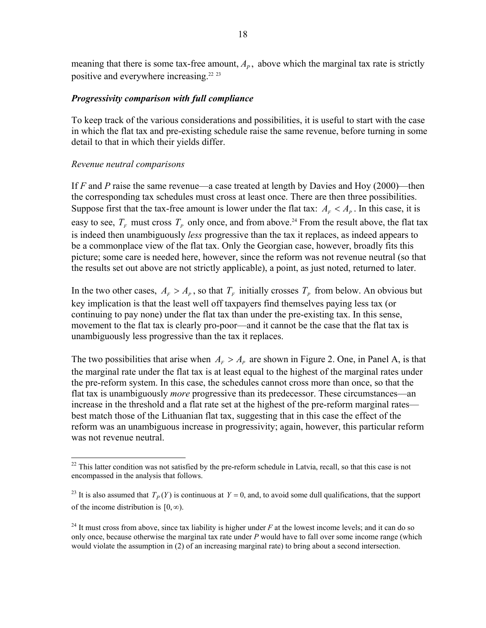meaning that there is some tax-free amount,  $A<sub>p</sub>$ , above which the marginal tax rate is strictly positive and everywhere increasing.22 23

#### *Progressivity comparison with full compliance*

To keep track of the various considerations and possibilities, it is useful to start with the case in which the flat tax and pre-existing schedule raise the same revenue, before turning in some detail to that in which their yields differ.

#### *Revenue neutral comparisons*

 $\overline{a}$ 

If *F* and *P* raise the same revenue—a case treated at length by Davies and Hoy (2000)—then the corresponding tax schedules must cross at least once. There are then three possibilities. Suppose first that the tax-free amount is lower under the flat tax:  $A_F < A_P$ . In this case, it is easy to see,  $T<sub>F</sub>$  must cross  $T<sub>P</sub>$  only once, and from above.<sup>24</sup> From the result above, the flat tax is indeed then unambiguously *less* progressive than the tax it replaces, as indeed appears to be a commonplace view of the flat tax. Only the Georgian case, however, broadly fits this picture; some care is needed here, however, since the reform was not revenue neutral (so that the results set out above are not strictly applicable), a point, as just noted, returned to later.

In the two other cases,  $A_F > A_P$ , so that  $T_F$  initially crosses  $T_P$  from below. An obvious but key implication is that the least well off taxpayers find themselves paying less tax (or continuing to pay none) under the flat tax than under the pre-existing tax. In this sense, movement to the flat tax is clearly pro-poor—and it cannot be the case that the flat tax is unambiguously less progressive than the tax it replaces.

The two possibilities that arise when  $A_F > A_P$  are shown in Figure 2. One, in Panel A, is that the marginal rate under the flat tax is at least equal to the highest of the marginal rates under the pre-reform system. In this case, the schedules cannot cross more than once, so that the flat tax is unambiguously *more* progressive than its predecessor. These circumstances—an increase in the threshold and a flat rate set at the highest of the pre-reform marginal rates best match those of the Lithuanian flat tax, suggesting that in this case the effect of the reform was an unambiguous increase in progressivity; again, however, this particular reform was not revenue neutral.

 $22$  This latter condition was not satisfied by the pre-reform schedule in Latvia, recall, so that this case is not encompassed in the analysis that follows.

<sup>&</sup>lt;sup>23</sup> It is also assumed that  $T_P(Y)$  is continuous at  $Y = 0$ , and, to avoid some dull qualifications, that the support of the income distribution is  $[0, \infty)$ .

<sup>&</sup>lt;sup>24</sup> It must cross from above, since tax liability is higher under  $F$  at the lowest income levels; and it can do so only once, because otherwise the marginal tax rate under *P* would have to fall over some income range (which would violate the assumption in (2) of an increasing marginal rate) to bring about a second intersection.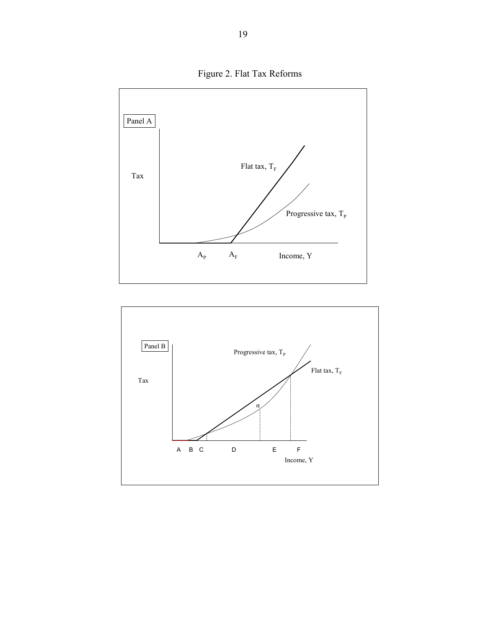

Figure 2. Flat Tax Reforms

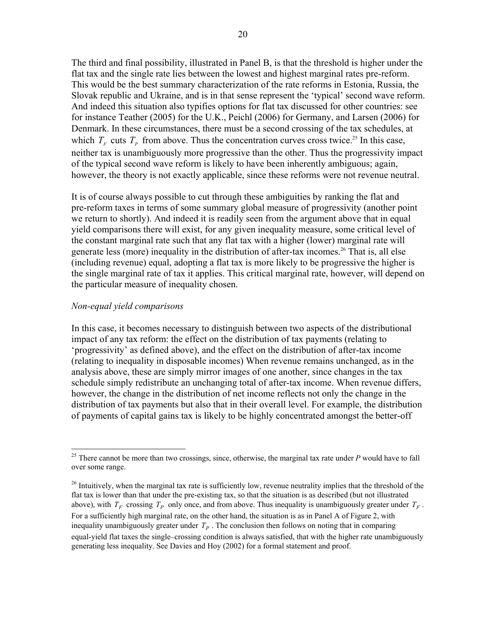The third and final possibility, illustrated in Panel B, is that the threshold is higher under the flat tax and the single rate lies between the lowest and highest marginal rates pre-reform. This would be the best summary characterization of the rate reforms in Estonia, Russia, the Slovak republic and Ukraine, and is in that sense represent the 'typical' second wave reform. And indeed this situation also typifies options for flat tax discussed for other countries: see for instance Teather (2005) for the U.K., Peichl (2006) for Germany, and Larsen (2006) for Denmark. In these circumstances, there must be a second crossing of the tax schedules, at which  $T_F$  cuts  $T_P$  from above. Thus the concentration curves cross twice.<sup>25</sup> In this case, neither tax is unambiguously more progressive than the other. Thus the progressivity impact of the typical second wave reform is likely to have been inherently ambiguous; again, however, the theory is not exactly applicable, since these reforms were not revenue neutral.

It is of course always possible to cut through these ambiguities by ranking the flat and pre-reform taxes in terms of some summary global measure of progressivity (another point we return to shortly). And indeed it is readily seen from the argument above that in equal yield comparisons there will exist, for any given inequality measure, some critical level of the constant marginal rate such that any flat tax with a higher (lower) marginal rate will generate less (more) inequality in the distribution of after-tax incomes.<sup>26</sup> That is, all else (including revenue) equal, adopting a flat tax is more likely to be progressive the higher is the single marginal rate of tax it applies. This critical marginal rate, however, will depend on the particular measure of inequality chosen.

#### *Non-equal yield comparisons*

 $\overline{a}$ 

In this case, it becomes necessary to distinguish between two aspects of the distributional impact of any tax reform: the effect on the distribution of tax payments (relating to 'progressivity' as defined above), and the effect on the distribution of after-tax income (relating to inequality in disposable incomes) When revenue remains unchanged, as in the analysis above, these are simply mirror images of one another, since changes in the tax schedule simply redistribute an unchanging total of after-tax income. When revenue differs, however, the change in the distribution of net income reflects not only the change in the distribution of tax payments but also that in their overall level. For example, the distribution of payments of capital gains tax is likely to be highly concentrated amongst the better-off

 $^{25}$  There cannot be more than two crossings, since, otherwise, the marginal tax rate under  $P$  would have to fall over some range.

<sup>&</sup>lt;sup>26</sup> Intuitively, when the marginal tax rate is sufficiently low, revenue neutrality implies that the threshold of the flat tax is lower than that under the pre-existing tax, so that the situation is as described (but not illustrated above), with  $T_F$  crossing  $T_P$  only once, and from above. Thus inequality is unambiguously greater under  $T_F$ . For a sufficiently high marginal rate, on the other hand, the situation is as in Panel A of Figure 2, with inequality unambiguously greater under  $T_p$ . The conclusion then follows on noting that in comparing equal-yield flat taxes the single–crossing condition is always satisfied, that with the higher rate unambiguously generating less inequality. See Davies and Hoy (2002) for a formal statement and proof.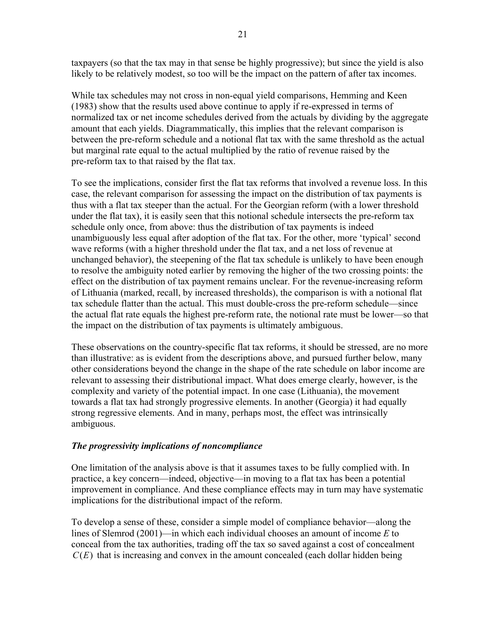taxpayers (so that the tax may in that sense be highly progressive); but since the yield is also likely to be relatively modest, so too will be the impact on the pattern of after tax incomes.

While tax schedules may not cross in non-equal yield comparisons, Hemming and Keen (1983) show that the results used above continue to apply if re-expressed in terms of normalized tax or net income schedules derived from the actuals by dividing by the aggregate amount that each yields. Diagrammatically, this implies that the relevant comparison is between the pre-reform schedule and a notional flat tax with the same threshold as the actual but marginal rate equal to the actual multiplied by the ratio of revenue raised by the pre-reform tax to that raised by the flat tax.

To see the implications, consider first the flat tax reforms that involved a revenue loss. In this case, the relevant comparison for assessing the impact on the distribution of tax payments is thus with a flat tax steeper than the actual. For the Georgian reform (with a lower threshold under the flat tax), it is easily seen that this notional schedule intersects the pre-reform tax schedule only once, from above: thus the distribution of tax payments is indeed unambiguously less equal after adoption of the flat tax. For the other, more 'typical' second wave reforms (with a higher threshold under the flat tax, and a net loss of revenue at unchanged behavior), the steepening of the flat tax schedule is unlikely to have been enough to resolve the ambiguity noted earlier by removing the higher of the two crossing points: the effect on the distribution of tax payment remains unclear. For the revenue-increasing reform of Lithuania (marked, recall, by increased thresholds), the comparison is with a notional flat tax schedule flatter than the actual. This must double-cross the pre-reform schedule—since the actual flat rate equals the highest pre-reform rate, the notional rate must be lower—so that the impact on the distribution of tax payments is ultimately ambiguous.

These observations on the country-specific flat tax reforms, it should be stressed, are no more than illustrative: as is evident from the descriptions above, and pursued further below, many other considerations beyond the change in the shape of the rate schedule on labor income are relevant to assessing their distributional impact. What does emerge clearly, however, is the complexity and variety of the potential impact. In one case (Lithuania), the movement towards a flat tax had strongly progressive elements. In another (Georgia) it had equally strong regressive elements. And in many, perhaps most, the effect was intrinsically ambiguous.

# *The progressivity implications of noncompliance*

One limitation of the analysis above is that it assumes taxes to be fully complied with. In practice, a key concern—indeed, objective—in moving to a flat tax has been a potential improvement in compliance. And these compliance effects may in turn may have systematic implications for the distributional impact of the reform.

To develop a sense of these, consider a simple model of compliance behavior—along the lines of Slemrod (2001)—in which each individual chooses an amount of income *E* to conceal from the tax authorities, trading off the tax so saved against a cost of concealment  $C(E)$  that is increasing and convex in the amount concealed (each dollar hidden being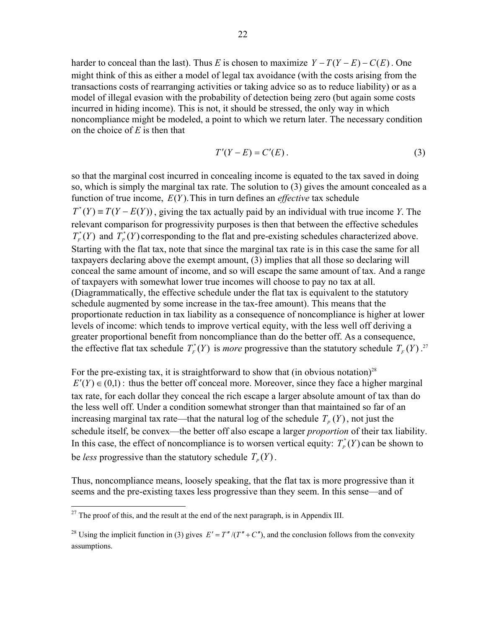harder to conceal than the last). Thus *E* is chosen to maximize  $Y - T(Y - E) - C(E)$ . One might think of this as either a model of legal tax avoidance (with the costs arising from the transactions costs of rearranging activities or taking advice so as to reduce liability) or as a model of illegal evasion with the probability of detection being zero (but again some costs incurred in hiding income). This is not, it should be stressed, the only way in which noncompliance might be modeled, a point to which we return later. The necessary condition on the choice of *E* is then that

$$
T'(Y - E) = C'(E). \tag{3}
$$

so that the marginal cost incurred in concealing income is equated to the tax saved in doing so, which is simply the marginal tax rate. The solution to (3) gives the amount concealed as a function of true income, *E*(*Y* ).This in turn defines an *effective* tax schedule  $T^*(Y) \equiv T(Y - E(Y))$ , giving the tax actually paid by an individual with true income *Y*. The relevant comparison for progressivity purposes is then that between the effective schedules  $T_{F}^{*}(Y)$  and  $T_{P}^{*}(Y)$  corresponding to the flat and pre-existing schedules characterized above. Starting with the flat tax, note that since the marginal tax rate is in this case the same for all taxpayers declaring above the exempt amount, (3) implies that all those so declaring will conceal the same amount of income, and so will escape the same amount of tax. And a range of taxpayers with somewhat lower true incomes will choose to pay no tax at all. (Diagrammatically, the effective schedule under the flat tax is equivalent to the statutory schedule augmented by some increase in the tax-free amount). This means that the proportionate reduction in tax liability as a consequence of noncompliance is higher at lower levels of income: which tends to improve vertical equity, with the less well off deriving a greater proportional benefit from noncompliance than do the better off. As a consequence, the effective flat tax schedule  $T_F^*(Y)$  is *more* progressive than the statutory schedule  $T_F(Y)$ .<sup>27</sup>

For the pre-existing tax, it is straightforward to show that (in obvious notation)<sup>28</sup>  $E'(Y) \in (0,1)$ : thus the better off conceal more. Moreover, since they face a higher marginal tax rate, for each dollar they conceal the rich escape a larger absolute amount of tax than do the less well off. Under a condition somewhat stronger than that maintained so far of an increasing marginal tax rate—that the natural log of the schedule  $T_p(Y)$ , not just the schedule itself, be convex—the better off also escape a larger *proportion* of their tax liability. In this case, the effect of noncompliance is to worsen vertical equity:  $T_p^*(Y)$  can be shown to be *less* progressive than the statutory schedule  $T_p(Y)$ .

Thus, noncompliance means, loosely speaking, that the flat tax is more progressive than it seems and the pre-existing taxes less progressive than they seem. In this sense—and of

 $\overline{a}$ 

 $^{27}$  The proof of this, and the result at the end of the next paragraph, is in Appendix III.

<sup>&</sup>lt;sup>28</sup> Using the implicit function in (3) gives  $E' = T''/(T'' + C'')$ , and the conclusion follows from the convexity assumptions.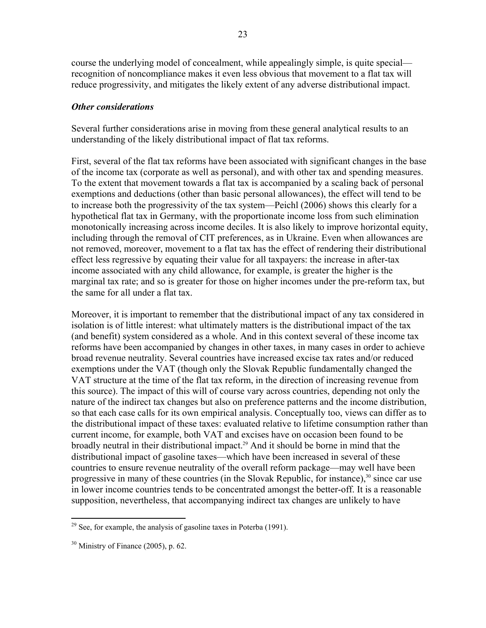course the underlying model of concealment, while appealingly simple, is quite special recognition of noncompliance makes it even less obvious that movement to a flat tax will reduce progressivity, and mitigates the likely extent of any adverse distributional impact.

## *Other considerations*

Several further considerations arise in moving from these general analytical results to an understanding of the likely distributional impact of flat tax reforms.

First, several of the flat tax reforms have been associated with significant changes in the base of the income tax (corporate as well as personal), and with other tax and spending measures. To the extent that movement towards a flat tax is accompanied by a scaling back of personal exemptions and deductions (other than basic personal allowances), the effect will tend to be to increase both the progressivity of the tax system—Peichl (2006) shows this clearly for a hypothetical flat tax in Germany, with the proportionate income loss from such elimination monotonically increasing across income deciles. It is also likely to improve horizontal equity, including through the removal of CIT preferences, as in Ukraine. Even when allowances are not removed, moreover, movement to a flat tax has the effect of rendering their distributional effect less regressive by equating their value for all taxpayers: the increase in after-tax income associated with any child allowance, for example, is greater the higher is the marginal tax rate; and so is greater for those on higher incomes under the pre-reform tax, but the same for all under a flat tax.

Moreover, it is important to remember that the distributional impact of any tax considered in isolation is of little interest: what ultimately matters is the distributional impact of the tax (and benefit) system considered as a whole. And in this context several of these income tax reforms have been accompanied by changes in other taxes, in many cases in order to achieve broad revenue neutrality. Several countries have increased excise tax rates and/or reduced exemptions under the VAT (though only the Slovak Republic fundamentally changed the VAT structure at the time of the flat tax reform, in the direction of increasing revenue from this source). The impact of this will of course vary across countries, depending not only the nature of the indirect tax changes but also on preference patterns and the income distribution, so that each case calls for its own empirical analysis. Conceptually too, views can differ as to the distributional impact of these taxes: evaluated relative to lifetime consumption rather than current income, for example, both VAT and excises have on occasion been found to be broadly neutral in their distributional impact.<sup>29</sup> And it should be borne in mind that the distributional impact of gasoline taxes—which have been increased in several of these countries to ensure revenue neutrality of the overall reform package—may well have been progressive in many of these countries (in the Slovak Republic, for instance),  $30$  since car use in lower income countries tends to be concentrated amongst the better-off. It is a reasonable supposition, nevertheless, that accompanying indirect tax changes are unlikely to have

 $\overline{a}$ 

 $^{29}$  See, for example, the analysis of gasoline taxes in Poterba (1991).

 $30$  Ministry of Finance (2005), p. 62.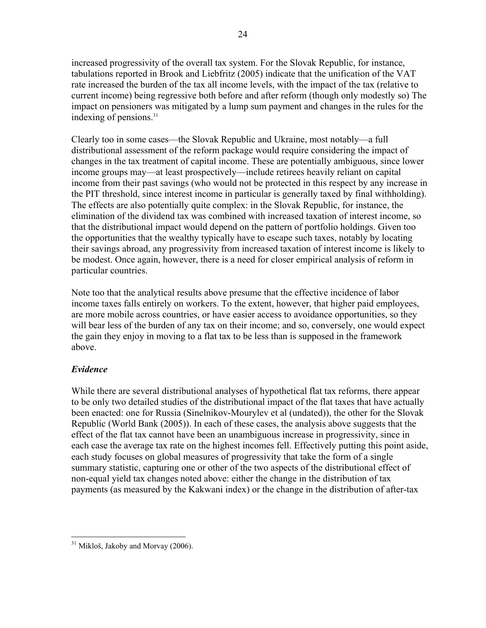increased progressivity of the overall tax system. For the Slovak Republic, for instance, tabulations reported in Brook and Liebfritz (2005) indicate that the unification of the VAT rate increased the burden of the tax all income levels, with the impact of the tax (relative to current income) being regressive both before and after reform (though only modestly so) The impact on pensioners was mitigated by a lump sum payment and changes in the rules for the indexing of pensions. $31$ 

Clearly too in some cases—the Slovak Republic and Ukraine, most notably—a full distributional assessment of the reform package would require considering the impact of changes in the tax treatment of capital income. These are potentially ambiguous, since lower income groups may—at least prospectively—include retirees heavily reliant on capital income from their past savings (who would not be protected in this respect by any increase in the PIT threshold, since interest income in particular is generally taxed by final withholding). The effects are also potentially quite complex: in the Slovak Republic, for instance, the elimination of the dividend tax was combined with increased taxation of interest income, so that the distributional impact would depend on the pattern of portfolio holdings. Given too the opportunities that the wealthy typically have to escape such taxes, notably by locating their savings abroad, any progressivity from increased taxation of interest income is likely to be modest. Once again, however, there is a need for closer empirical analysis of reform in particular countries.

Note too that the analytical results above presume that the effective incidence of labor income taxes falls entirely on workers. To the extent, however, that higher paid employees, are more mobile across countries, or have easier access to avoidance opportunities, so they will bear less of the burden of any tax on their income; and so, conversely, one would expect the gain they enjoy in moving to a flat tax to be less than is supposed in the framework above.

# *Evidence*

While there are several distributional analyses of hypothetical flat tax reforms, there appear to be only two detailed studies of the distributional impact of the flat taxes that have actually been enacted: one for Russia (Sinelnikov-Mourylev et al (undated)), the other for the Slovak Republic (World Bank (2005)). In each of these cases, the analysis above suggests that the effect of the flat tax cannot have been an unambiguous increase in progressivity, since in each case the average tax rate on the highest incomes fell. Effectively putting this point aside, each study focuses on global measures of progressivity that take the form of a single summary statistic, capturing one or other of the two aspects of the distributional effect of non-equal yield tax changes noted above: either the change in the distribution of tax payments (as measured by the Kakwani index) or the change in the distribution of after-tax

 $\overline{a}$  $31$  Mikloš, Jakoby and Morvay (2006).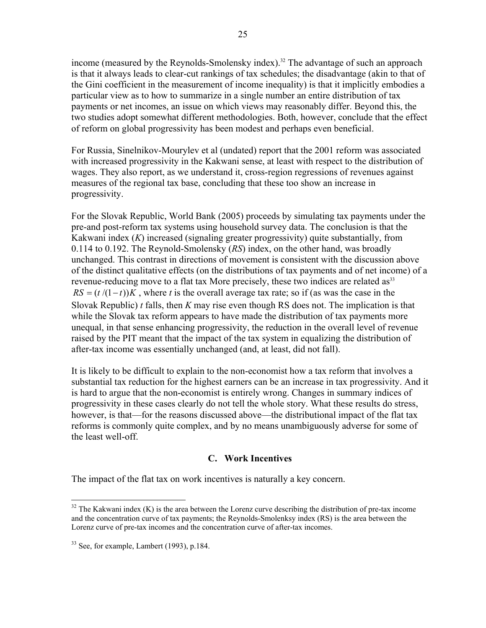income (measured by the Reynolds-Smolensky index).<sup>32</sup> The advantage of such an approach is that it always leads to clear-cut rankings of tax schedules; the disadvantage (akin to that of the Gini coefficient in the measurement of income inequality) is that it implicitly embodies a particular view as to how to summarize in a single number an entire distribution of tax payments or net incomes, an issue on which views may reasonably differ. Beyond this, the two studies adopt somewhat different methodologies. Both, however, conclude that the effect of reform on global progressivity has been modest and perhaps even beneficial.

For Russia, Sinelnikov-Mourylev et al (undated) report that the 2001 reform was associated with increased progressivity in the Kakwani sense, at least with respect to the distribution of wages. They also report, as we understand it, cross-region regressions of revenues against measures of the regional tax base, concluding that these too show an increase in progressivity.

For the Slovak Republic, World Bank (2005) proceeds by simulating tax payments under the pre-and post-reform tax systems using household survey data. The conclusion is that the Kakwani index (*K*) increased (signaling greater progressivity) quite substantially, from 0.114 to 0.192. The Reynold-Smolensky (*RS*) index, on the other hand, was broadly unchanged. This contrast in directions of movement is consistent with the discussion above of the distinct qualitative effects (on the distributions of tax payments and of net income) of a revenue-reducing move to a flat tax More precisely, these two indices are related as<sup>33</sup>  $RS = (t/(1-t))K$ , where *t* is the overall average tax rate; so if (as was the case in the Slovak Republic) *t* falls, then *K* may rise even though RS does not. The implication is that while the Slovak tax reform appears to have made the distribution of tax payments more unequal, in that sense enhancing progressivity, the reduction in the overall level of revenue raised by the PIT meant that the impact of the tax system in equalizing the distribution of after-tax income was essentially unchanged (and, at least, did not fall).

It is likely to be difficult to explain to the non-economist how a tax reform that involves a substantial tax reduction for the highest earners can be an increase in tax progressivity. And it is hard to argue that the non-economist is entirely wrong. Changes in summary indices of progressivity in these cases clearly do not tell the whole story. What these results do stress, however, is that—for the reasons discussed above—the distributional impact of the flat tax reforms is commonly quite complex, and by no means unambiguously adverse for some of the least well-off.

#### **C. Work Incentives**

The impact of the flat tax on work incentives is naturally a key concern.

1

 $32$  The Kakwani index (K) is the area between the Lorenz curve describing the distribution of pre-tax income and the concentration curve of tax payments; the Reynolds-Smolenksy index (RS) is the area between the Lorenz curve of pre-tax incomes and the concentration curve of after-tax incomes.

<sup>33</sup> See, for example, Lambert (1993), p.184.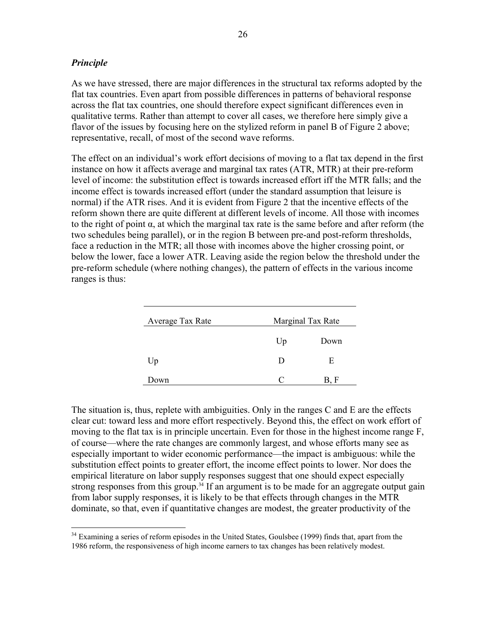#### *Principle*

1

As we have stressed, there are major differences in the structural tax reforms adopted by the flat tax countries. Even apart from possible differences in patterns of behavioral response across the flat tax countries, one should therefore expect significant differences even in qualitative terms. Rather than attempt to cover all cases, we therefore here simply give a flavor of the issues by focusing here on the stylized reform in panel B of Figure 2 above; representative, recall, of most of the second wave reforms.

The effect on an individual's work effort decisions of moving to a flat tax depend in the first instance on how it affects average and marginal tax rates (ATR, MTR) at their pre-reform level of income: the substitution effect is towards increased effort iff the MTR falls; and the income effect is towards increased effort (under the standard assumption that leisure is normal) if the ATR rises. And it is evident from Figure 2 that the incentive effects of the reform shown there are quite different at different levels of income. All those with incomes to the right of point  $\alpha$ , at which the marginal tax rate is the same before and after reform (the two schedules being parallel), or in the region B between pre-and post-reform thresholds, face a reduction in the MTR; all those with incomes above the higher crossing point, or below the lower, face a lower ATR. Leaving aside the region below the threshold under the pre-reform schedule (where nothing changes), the pattern of effects in the various income ranges is thus:

| Average Tax Rate |           | Marginal Tax Rate |
|------------------|-----------|-------------------|
|                  | Up        | Down              |
| Up               | D         | Е                 |
| Down             | $\subset$ | B. F              |

The situation is, thus, replete with ambiguities. Only in the ranges C and E are the effects clear cut: toward less and more effort respectively. Beyond this, the effect on work effort of moving to the flat tax is in principle uncertain. Even for those in the highest income range F, of course—where the rate changes are commonly largest, and whose efforts many see as especially important to wider economic performance—the impact is ambiguous: while the substitution effect points to greater effort, the income effect points to lower. Nor does the empirical literature on labor supply responses suggest that one should expect especially strong responses from this group.<sup>34</sup> If an argument is to be made for an aggregate output gain from labor supply responses, it is likely to be that effects through changes in the MTR dominate, so that, even if quantitative changes are modest, the greater productivity of the

 $34$  Examining a series of reform episodes in the United States, Goulsbee (1999) finds that, apart from the 1986 reform, the responsiveness of high income earners to tax changes has been relatively modest.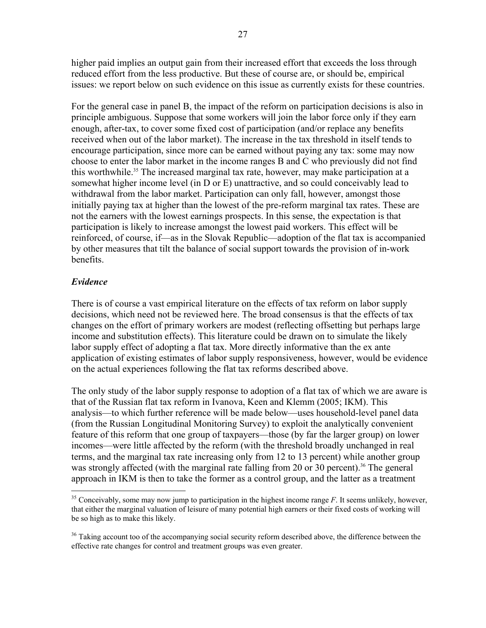higher paid implies an output gain from their increased effort that exceeds the loss through reduced effort from the less productive. But these of course are, or should be, empirical issues: we report below on such evidence on this issue as currently exists for these countries.

For the general case in panel B, the impact of the reform on participation decisions is also in principle ambiguous. Suppose that some workers will join the labor force only if they earn enough, after-tax, to cover some fixed cost of participation (and/or replace any benefits received when out of the labor market). The increase in the tax threshold in itself tends to encourage participation, since more can be earned without paying any tax: some may now choose to enter the labor market in the income ranges B and C who previously did not find this worthwhile.<sup>35</sup> The increased marginal tax rate, however, may make participation at a somewhat higher income level (in D or E) unattractive, and so could conceivably lead to withdrawal from the labor market. Participation can only fall, however, amongst those initially paying tax at higher than the lowest of the pre-reform marginal tax rates. These are not the earners with the lowest earnings prospects. In this sense, the expectation is that participation is likely to increase amongst the lowest paid workers. This effect will be reinforced, of course, if—as in the Slovak Republic—adoption of the flat tax is accompanied by other measures that tilt the balance of social support towards the provision of in-work benefits.

## *Evidence*

 $\overline{a}$ 

There is of course a vast empirical literature on the effects of tax reform on labor supply decisions, which need not be reviewed here. The broad consensus is that the effects of tax changes on the effort of primary workers are modest (reflecting offsetting but perhaps large income and substitution effects). This literature could be drawn on to simulate the likely labor supply effect of adopting a flat tax. More directly informative than the ex ante application of existing estimates of labor supply responsiveness, however, would be evidence on the actual experiences following the flat tax reforms described above.

The only study of the labor supply response to adoption of a flat tax of which we are aware is that of the Russian flat tax reform in Ivanova, Keen and Klemm (2005; IKM). This analysis—to which further reference will be made below—uses household-level panel data (from the Russian Longitudinal Monitoring Survey) to exploit the analytically convenient feature of this reform that one group of taxpayers—those (by far the larger group) on lower incomes—were little affected by the reform (with the threshold broadly unchanged in real terms, and the marginal tax rate increasing only from 12 to 13 percent) while another group was strongly affected (with the marginal rate falling from 20 or 30 percent).<sup>36</sup> The general approach in IKM is then to take the former as a control group, and the latter as a treatment

<sup>&</sup>lt;sup>35</sup> Conceivably, some may now jump to participation in the highest income range *F*. It seems unlikely, however, that either the marginal valuation of leisure of many potential high earners or their fixed costs of working will be so high as to make this likely.

<sup>&</sup>lt;sup>36</sup> Taking account too of the accompanying social security reform described above, the difference between the effective rate changes for control and treatment groups was even greater.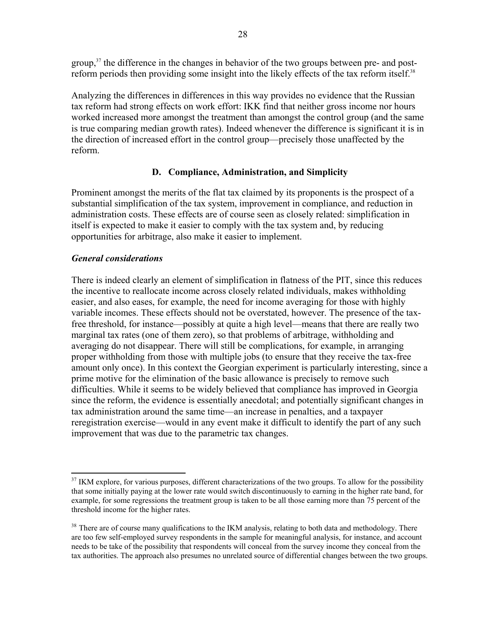group, $37$  the difference in the changes in behavior of the two groups between pre- and postreform periods then providing some insight into the likely effects of the tax reform itself.<sup>38</sup>

Analyzing the differences in differences in this way provides no evidence that the Russian tax reform had strong effects on work effort: IKK find that neither gross income nor hours worked increased more amongst the treatment than amongst the control group (and the same is true comparing median growth rates). Indeed whenever the difference is significant it is in the direction of increased effort in the control group—precisely those unaffected by the reform.

## **D. Compliance, Administration, and Simplicity**

Prominent amongst the merits of the flat tax claimed by its proponents is the prospect of a substantial simplification of the tax system, improvement in compliance, and reduction in administration costs. These effects are of course seen as closely related: simplification in itself is expected to make it easier to comply with the tax system and, by reducing opportunities for arbitrage, also make it easier to implement.

## *General considerations*

1

There is indeed clearly an element of simplification in flatness of the PIT, since this reduces the incentive to reallocate income across closely related individuals, makes withholding easier, and also eases, for example, the need for income averaging for those with highly variable incomes. These effects should not be overstated, however. The presence of the taxfree threshold, for instance—possibly at quite a high level—means that there are really two marginal tax rates (one of them zero), so that problems of arbitrage, withholding and averaging do not disappear. There will still be complications, for example, in arranging proper withholding from those with multiple jobs (to ensure that they receive the tax-free amount only once). In this context the Georgian experiment is particularly interesting, since a prime motive for the elimination of the basic allowance is precisely to remove such difficulties. While it seems to be widely believed that compliance has improved in Georgia since the reform, the evidence is essentially anecdotal; and potentially significant changes in tax administration around the same time—an increase in penalties, and a taxpayer reregistration exercise—would in any event make it difficult to identify the part of any such improvement that was due to the parametric tax changes.

 $37$  IKM explore, for various purposes, different characterizations of the two groups. To allow for the possibility that some initially paying at the lower rate would switch discontinuously to earning in the higher rate band, for example, for some regressions the treatment group is taken to be all those earning more than 75 percent of the threshold income for the higher rates.

<sup>&</sup>lt;sup>38</sup> There are of course many qualifications to the IKM analysis, relating to both data and methodology. There are too few self-employed survey respondents in the sample for meaningful analysis, for instance, and account needs to be take of the possibility that respondents will conceal from the survey income they conceal from the tax authorities. The approach also presumes no unrelated source of differential changes between the two groups.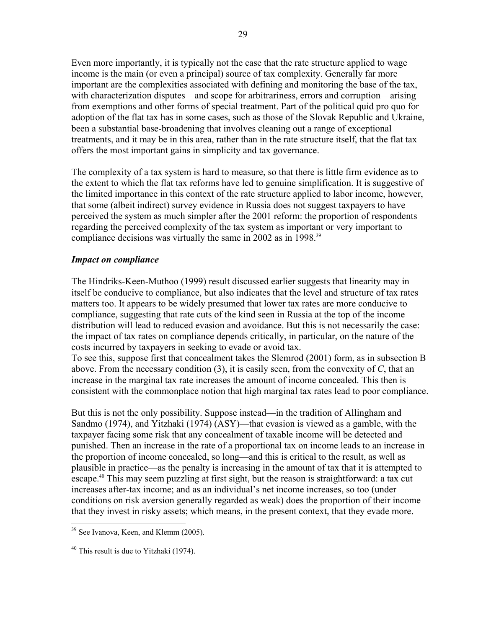Even more importantly, it is typically not the case that the rate structure applied to wage income is the main (or even a principal) source of tax complexity. Generally far more important are the complexities associated with defining and monitoring the base of the tax, with characterization disputes—and scope for arbitrariness, errors and corruption—arising from exemptions and other forms of special treatment. Part of the political quid pro quo for adoption of the flat tax has in some cases, such as those of the Slovak Republic and Ukraine, been a substantial base-broadening that involves cleaning out a range of exceptional treatments, and it may be in this area, rather than in the rate structure itself, that the flat tax offers the most important gains in simplicity and tax governance.

The complexity of a tax system is hard to measure, so that there is little firm evidence as to the extent to which the flat tax reforms have led to genuine simplification. It is suggestive of the limited importance in this context of the rate structure applied to labor income, however, that some (albeit indirect) survey evidence in Russia does not suggest taxpayers to have perceived the system as much simpler after the 2001 reform: the proportion of respondents regarding the perceived complexity of the tax system as important or very important to compliance decisions was virtually the same in 2002 as in 1998.<sup>39</sup>

## *Impact on compliance*

The Hindriks-Keen-Muthoo (1999) result discussed earlier suggests that linearity may in itself be conducive to compliance, but also indicates that the level and structure of tax rates matters too. It appears to be widely presumed that lower tax rates are more conducive to compliance, suggesting that rate cuts of the kind seen in Russia at the top of the income distribution will lead to reduced evasion and avoidance. But this is not necessarily the case: the impact of tax rates on compliance depends critically, in particular, on the nature of the costs incurred by taxpayers in seeking to evade or avoid tax.

To see this, suppose first that concealment takes the Slemrod (2001) form, as in subsection B above. From the necessary condition (3), it is easily seen, from the convexity of *C*, that an increase in the marginal tax rate increases the amount of income concealed. This then is consistent with the commonplace notion that high marginal tax rates lead to poor compliance.

But this is not the only possibility. Suppose instead—in the tradition of Allingham and Sandmo (1974), and Yitzhaki (1974) (ASY)—that evasion is viewed as a gamble, with the taxpayer facing some risk that any concealment of taxable income will be detected and punished. Then an increase in the rate of a proportional tax on income leads to an increase in the proportion of income concealed, so long—and this is critical to the result, as well as plausible in practice—as the penalty is increasing in the amount of tax that it is attempted to escape.40 This may seem puzzling at first sight, but the reason is straightforward: a tax cut increases after-tax income; and as an individual's net income increases, so too (under conditions on risk aversion generally regarded as weak) does the proportion of their income that they invest in risky assets; which means, in the present context, that they evade more.

<sup>&</sup>lt;u>.</u> <sup>39</sup> See Ivanova, Keen, and Klemm (2005).

 $40$  This result is due to Yitzhaki (1974).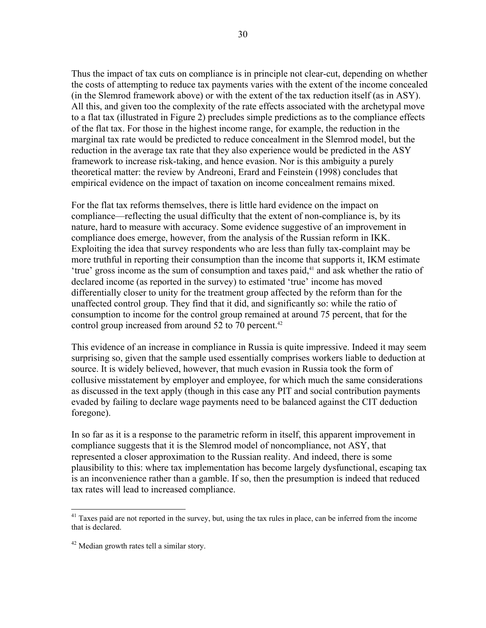Thus the impact of tax cuts on compliance is in principle not clear-cut, depending on whether the costs of attempting to reduce tax payments varies with the extent of the income concealed (in the Slemrod framework above) or with the extent of the tax reduction itself (as in ASY). All this, and given too the complexity of the rate effects associated with the archetypal move to a flat tax (illustrated in Figure 2) precludes simple predictions as to the compliance effects of the flat tax. For those in the highest income range, for example, the reduction in the marginal tax rate would be predicted to reduce concealment in the Slemrod model, but the reduction in the average tax rate that they also experience would be predicted in the ASY framework to increase risk-taking, and hence evasion. Nor is this ambiguity a purely theoretical matter: the review by Andreoni, Erard and Feinstein (1998) concludes that empirical evidence on the impact of taxation on income concealment remains mixed.

For the flat tax reforms themselves, there is little hard evidence on the impact on compliance—reflecting the usual difficulty that the extent of non-compliance is, by its nature, hard to measure with accuracy. Some evidence suggestive of an improvement in compliance does emerge, however, from the analysis of the Russian reform in IKK. Exploiting the idea that survey respondents who are less than fully tax-complaint may be more truthful in reporting their consumption than the income that supports it, IKM estimate 'true' gross income as the sum of consumption and taxes paid,<sup>41</sup> and ask whether the ratio of declared income (as reported in the survey) to estimated 'true' income has moved differentially closer to unity for the treatment group affected by the reform than for the unaffected control group. They find that it did, and significantly so: while the ratio of consumption to income for the control group remained at around 75 percent, that for the control group increased from around 52 to 70 percent.<sup>42</sup>

This evidence of an increase in compliance in Russia is quite impressive. Indeed it may seem surprising so, given that the sample used essentially comprises workers liable to deduction at source. It is widely believed, however, that much evasion in Russia took the form of collusive misstatement by employer and employee, for which much the same considerations as discussed in the text apply (though in this case any PIT and social contribution payments evaded by failing to declare wage payments need to be balanced against the CIT deduction foregone).

In so far as it is a response to the parametric reform in itself, this apparent improvement in compliance suggests that it is the Slemrod model of noncompliance, not ASY, that represented a closer approximation to the Russian reality. And indeed, there is some plausibility to this: where tax implementation has become largely dysfunctional, escaping tax is an inconvenience rather than a gamble. If so, then the presumption is indeed that reduced tax rates will lead to increased compliance.

 $\overline{a}$ 

 $41$  Taxes paid are not reported in the survey, but, using the tax rules in place, can be inferred from the income that is declared.

<sup>&</sup>lt;sup>42</sup> Median growth rates tell a similar story.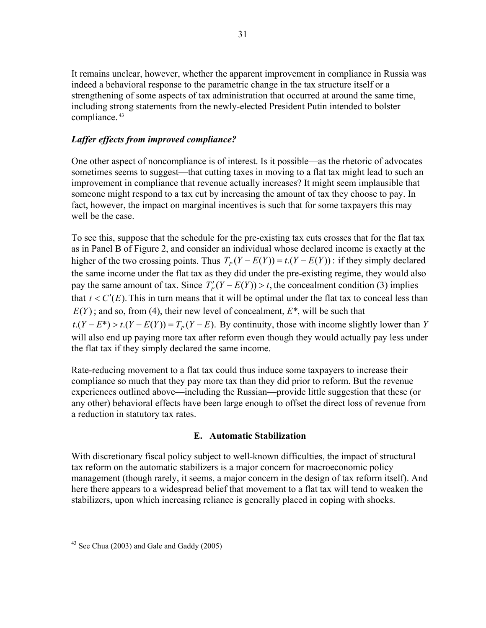It remains unclear, however, whether the apparent improvement in compliance in Russia was indeed a behavioral response to the parametric change in the tax structure itself or a strengthening of some aspects of tax administration that occurred at around the same time, including strong statements from the newly-elected President Putin intended to bolster compliance. 43

## *Laffer effects from improved compliance?*

One other aspect of noncompliance is of interest. Is it possible—as the rhetoric of advocates sometimes seems to suggest—that cutting taxes in moving to a flat tax might lead to such an improvement in compliance that revenue actually increases? It might seem implausible that someone might respond to a tax cut by increasing the amount of tax they choose to pay. In fact, however, the impact on marginal incentives is such that for some taxpayers this may well be the case.

To see this, suppose that the schedule for the pre-existing tax cuts crosses that for the flat tax as in Panel B of Figure 2, and consider an individual whose declared income is exactly at the higher of the two crossing points. Thus  $T_p(Y - E(Y)) = t.(Y - E(Y))$ : if they simply declared the same income under the flat tax as they did under the pre-existing regime, they would also pay the same amount of tax. Since  $T'_{P}(Y - E(Y)) > t$ , the concealment condition (3) implies that  $t < C'(E)$ . This in turn means that it will be optimal under the flat tax to conceal less than  $E(Y)$ ; and so, from (4), their new level of concealment,  $E^*$ , will be such that  $t.(Y - E^*) > t.(Y - E(Y)) = T_p(Y - E)$ . By continuity, those with income slightly lower than *Y* will also end up paying more tax after reform even though they would actually pay less under the flat tax if they simply declared the same income.

Rate-reducing movement to a flat tax could thus induce some taxpayers to increase their compliance so much that they pay more tax than they did prior to reform. But the revenue experiences outlined above—including the Russian—provide little suggestion that these (or any other) behavioral effects have been large enough to offset the direct loss of revenue from a reduction in statutory tax rates.

#### **E. Automatic Stabilization**

With discretionary fiscal policy subject to well-known difficulties, the impact of structural tax reform on the automatic stabilizers is a major concern for macroeconomic policy management (though rarely, it seems, a major concern in the design of tax reform itself). And here there appears to a widespread belief that movement to a flat tax will tend to weaken the stabilizers, upon which increasing reliance is generally placed in coping with shocks.

1

 $43$  See Chua (2003) and Gale and Gaddy (2005)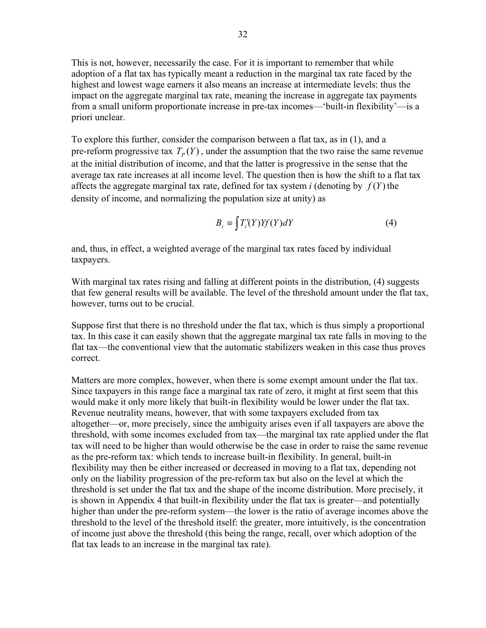This is not, however, necessarily the case. For it is important to remember that while adoption of a flat tax has typically meant a reduction in the marginal tax rate faced by the highest and lowest wage earners it also means an increase at intermediate levels: thus the impact on the aggregate marginal tax rate, meaning the increase in aggregate tax payments from a small uniform proportionate increase in pre-tax incomes—'built-in flexibility'—is a priori unclear.

To explore this further, consider the comparison between a flat tax, as in (1), and a pre-reform progressive tax  $T<sub>p</sub>(Y)$ , under the assumption that the two raise the same revenue at the initial distribution of income, and that the latter is progressive in the sense that the average tax rate increases at all income level. The question then is how the shift to a flat tax affects the aggregate marginal tax rate, defined for tax system *i* (denoting by  $f(Y)$  the density of income, and normalizing the population size at unity) as

$$
B_i \equiv \int T_i(Y)Yf(Y)dY \tag{4}
$$

and, thus, in effect, a weighted average of the marginal tax rates faced by individual taxpayers.

With marginal tax rates rising and falling at different points in the distribution, (4) suggests that few general results will be available. The level of the threshold amount under the flat tax, however, turns out to be crucial.

Suppose first that there is no threshold under the flat tax, which is thus simply a proportional tax. In this case it can easily shown that the aggregate marginal tax rate falls in moving to the flat tax—the conventional view that the automatic stabilizers weaken in this case thus proves correct.

Matters are more complex, however, when there is some exempt amount under the flat tax. Since taxpayers in this range face a marginal tax rate of zero, it might at first seem that this would make it only more likely that built-in flexibility would be lower under the flat tax. Revenue neutrality means, however, that with some taxpayers excluded from tax altogether—or, more precisely, since the ambiguity arises even if all taxpayers are above the threshold, with some incomes excluded from tax—the marginal tax rate applied under the flat tax will need to be higher than would otherwise be the case in order to raise the same revenue as the pre-reform tax: which tends to increase built-in flexibility. In general, built-in flexibility may then be either increased or decreased in moving to a flat tax, depending not only on the liability progression of the pre-reform tax but also on the level at which the threshold is set under the flat tax and the shape of the income distribution. More precisely, it is shown in Appendix 4 that built-in flexibility under the flat tax is greater—and potentially higher than under the pre-reform system—the lower is the ratio of average incomes above the threshold to the level of the threshold itself: the greater, more intuitively, is the concentration of income just above the threshold (this being the range, recall, over which adoption of the flat tax leads to an increase in the marginal tax rate).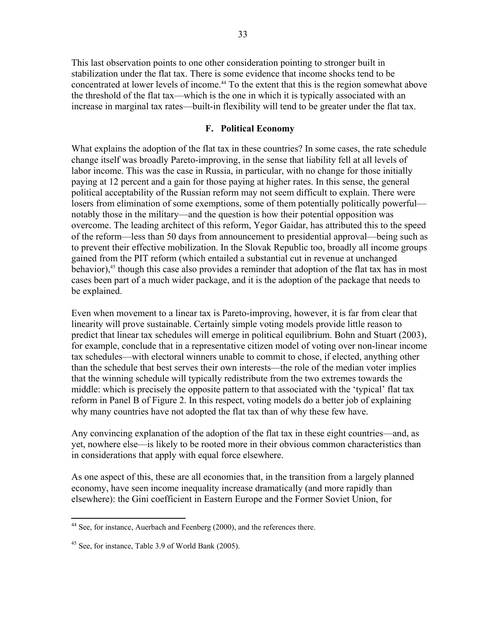This last observation points to one other consideration pointing to stronger built in stabilization under the flat tax. There is some evidence that income shocks tend to be concentrated at lower levels of income.<sup>44</sup> To the extent that this is the region somewhat above the threshold of the flat tax—which is the one in which it is typically associated with an increase in marginal tax rates—built-in flexibility will tend to be greater under the flat tax.

#### **F. Political Economy**

What explains the adoption of the flat tax in these countries? In some cases, the rate schedule change itself was broadly Pareto-improving, in the sense that liability fell at all levels of labor income. This was the case in Russia, in particular, with no change for those initially paying at 12 percent and a gain for those paying at higher rates. In this sense, the general political acceptability of the Russian reform may not seem difficult to explain. There were losers from elimination of some exemptions, some of them potentially politically powerful notably those in the military—and the question is how their potential opposition was overcome. The leading architect of this reform, Yegor Gaidar, has attributed this to the speed of the reform—less than 50 days from announcement to presidential approval—being such as to prevent their effective mobilization. In the Slovak Republic too, broadly all income groups gained from the PIT reform (which entailed a substantial cut in revenue at unchanged behavior),<sup>45</sup> though this case also provides a reminder that adoption of the flat tax has in most cases been part of a much wider package, and it is the adoption of the package that needs to be explained.

Even when movement to a linear tax is Pareto-improving, however, it is far from clear that linearity will prove sustainable. Certainly simple voting models provide little reason to predict that linear tax schedules will emerge in political equilibrium. Bohn and Stuart (2003), for example, conclude that in a representative citizen model of voting over non-linear income tax schedules—with electoral winners unable to commit to chose, if elected, anything other than the schedule that best serves their own interests—the role of the median voter implies that the winning schedule will typically redistribute from the two extremes towards the middle: which is precisely the opposite pattern to that associated with the 'typical' flat tax reform in Panel B of Figure 2. In this respect, voting models do a better job of explaining why many countries have not adopted the flat tax than of why these few have.

Any convincing explanation of the adoption of the flat tax in these eight countries—and, as yet, nowhere else—is likely to be rooted more in their obvious common characteristics than in considerations that apply with equal force elsewhere.

As one aspect of this, these are all economies that, in the transition from a largely planned economy, have seen income inequality increase dramatically (and more rapidly than elsewhere): the Gini coefficient in Eastern Europe and the Former Soviet Union, for

1

<sup>&</sup>lt;sup>44</sup> See, for instance, Auerbach and Feenberg (2000), and the references there.

<sup>45</sup> See, for instance, Table 3.9 of World Bank (2005).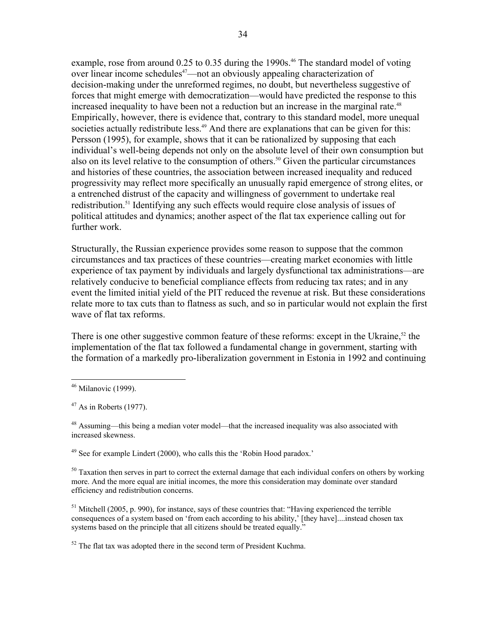example, rose from around  $0.25$  to  $0.35$  during the 1990s.<sup>46</sup> The standard model of voting over linear income schedules<sup>47</sup>—not an obviously appealing characterization of decision-making under the unreformed regimes, no doubt, but nevertheless suggestive of forces that might emerge with democratization—would have predicted the response to this increased inequality to have been not a reduction but an increase in the marginal rate.<sup>48</sup> Empirically, however, there is evidence that, contrary to this standard model, more unequal societies actually redistribute less.<sup>49</sup> And there are explanations that can be given for this: Persson (1995), for example, shows that it can be rationalized by supposing that each individual's well-being depends not only on the absolute level of their own consumption but also on its level relative to the consumption of others.<sup>50</sup> Given the particular circumstances and histories of these countries, the association between increased inequality and reduced progressivity may reflect more specifically an unusually rapid emergence of strong elites, or a entrenched distrust of the capacity and willingness of government to undertake real redistribution.51 Identifying any such effects would require close analysis of issues of political attitudes and dynamics; another aspect of the flat tax experience calling out for further work.

Structurally, the Russian experience provides some reason to suppose that the common circumstances and tax practices of these countries—creating market economies with little experience of tax payment by individuals and largely dysfunctional tax administrations—are relatively conducive to beneficial compliance effects from reducing tax rates; and in any event the limited initial yield of the PIT reduced the revenue at risk. But these considerations relate more to tax cuts than to flatness as such, and so in particular would not explain the first wave of flat tax reforms.

There is one other suggestive common feature of these reforms: except in the Ukraine,<sup>52</sup> the implementation of the flat tax followed a fundamental change in government, starting with the formation of a markedly pro-liberalization government in Estonia in 1992 and continuing

 $\overline{a}$ 

 $48$  Assuming—this being a median voter model—that the increased inequality was also associated with increased skewness.

 $49$  See for example Lindert (2000), who calls this the 'Robin Hood paradox.'

 $50$  Taxation then serves in part to correct the external damage that each individual confers on others by working more. And the more equal are initial incomes, the more this consideration may dominate over standard efficiency and redistribution concerns.

 $<sup>51</sup>$  Mitchell (2005, p. 990), for instance, says of these countries that: "Having experienced the terrible</sup> consequences of a system based on 'from each according to his ability,' [they have]....instead chosen tax systems based on the principle that all citizens should be treated equally."

 $52$  The flat tax was adopted there in the second term of President Kuchma.

<sup>&</sup>lt;sup>46</sup> Milanovic (1999).

 $47$  As in Roberts (1977).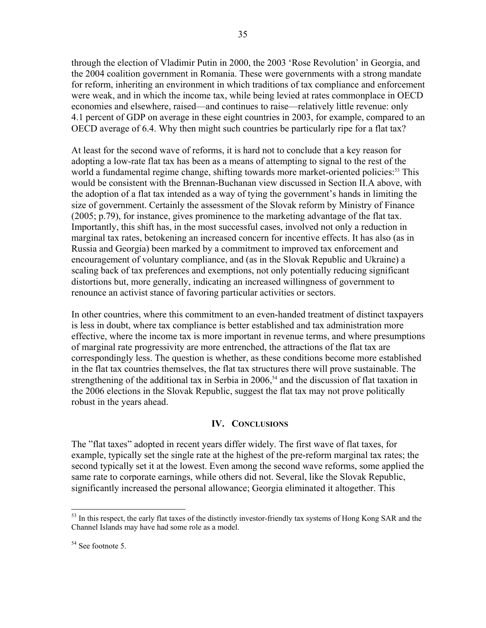through the election of Vladimir Putin in 2000, the 2003 'Rose Revolution' in Georgia, and the 2004 coalition government in Romania. These were governments with a strong mandate for reform, inheriting an environment in which traditions of tax compliance and enforcement were weak, and in which the income tax, while being levied at rates commonplace in OECD economies and elsewhere, raised—and continues to raise—relatively little revenue: only 4.1 percent of GDP on average in these eight countries in 2003, for example, compared to an OECD average of 6.4. Why then might such countries be particularly ripe for a flat tax?

At least for the second wave of reforms, it is hard not to conclude that a key reason for adopting a low-rate flat tax has been as a means of attempting to signal to the rest of the world a fundamental regime change, shifting towards more market-oriented policies.<sup>53</sup> This would be consistent with the Brennan-Buchanan view discussed in Section II.A above, with the adoption of a flat tax intended as a way of tying the government's hands in limiting the size of government. Certainly the assessment of the Slovak reform by Ministry of Finance (2005; p.79), for instance, gives prominence to the marketing advantage of the flat tax. Importantly, this shift has, in the most successful cases, involved not only a reduction in marginal tax rates, betokening an increased concern for incentive effects. It has also (as in Russia and Georgia) been marked by a commitment to improved tax enforcement and encouragement of voluntary compliance, and (as in the Slovak Republic and Ukraine) a scaling back of tax preferences and exemptions, not only potentially reducing significant distortions but, more generally, indicating an increased willingness of government to renounce an activist stance of favoring particular activities or sectors.

In other countries, where this commitment to an even-handed treatment of distinct taxpayers is less in doubt, where tax compliance is better established and tax administration more effective, where the income tax is more important in revenue terms, and where presumptions of marginal rate progressivity are more entrenched, the attractions of the flat tax are correspondingly less. The question is whether, as these conditions become more established in the flat tax countries themselves, the flat tax structures there will prove sustainable. The strengthening of the additional tax in Serbia in 2006,<sup>54</sup> and the discussion of flat taxation in the 2006 elections in the Slovak Republic, suggest the flat tax may not prove politically robust in the years ahead.

#### **IV. CONCLUSIONS**

The "flat taxes" adopted in recent years differ widely. The first wave of flat taxes, for example, typically set the single rate at the highest of the pre-reform marginal tax rates; the second typically set it at the lowest. Even among the second wave reforms, some applied the same rate to corporate earnings, while others did not. Several, like the Slovak Republic, significantly increased the personal allowance; Georgia eliminated it altogether. This

 $\overline{a}$ 

<sup>&</sup>lt;sup>53</sup> In this respect, the early flat taxes of the distinctly investor-friendly tax systems of Hong Kong SAR and the Channel Islands may have had some role as a model.

<sup>&</sup>lt;sup>54</sup> See footnote 5.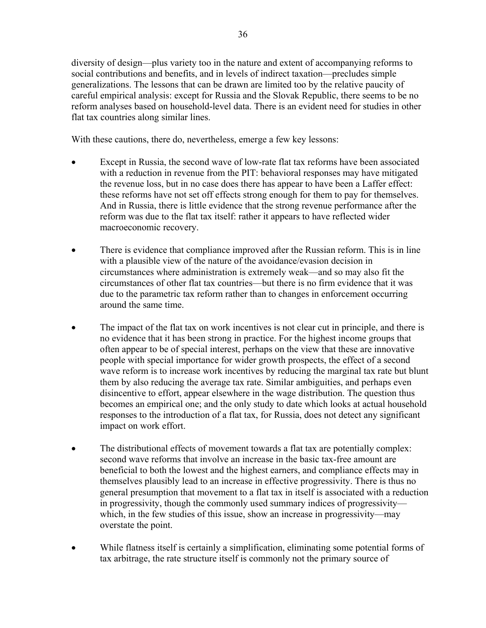diversity of design—plus variety too in the nature and extent of accompanying reforms to social contributions and benefits, and in levels of indirect taxation—precludes simple generalizations. The lessons that can be drawn are limited too by the relative paucity of careful empirical analysis: except for Russia and the Slovak Republic, there seems to be no reform analyses based on household-level data. There is an evident need for studies in other flat tax countries along similar lines.

With these cautions, there do, nevertheless, emerge a few key lessons:

- Except in Russia, the second wave of low-rate flat tax reforms have been associated with a reduction in revenue from the PIT: behavioral responses may have mitigated the revenue loss, but in no case does there has appear to have been a Laffer effect: these reforms have not set off effects strong enough for them to pay for themselves. And in Russia, there is little evidence that the strong revenue performance after the reform was due to the flat tax itself: rather it appears to have reflected wider macroeconomic recovery.
- There is evidence that compliance improved after the Russian reform. This is in line with a plausible view of the nature of the avoidance/evasion decision in circumstances where administration is extremely weak—and so may also fit the circumstances of other flat tax countries—but there is no firm evidence that it was due to the parametric tax reform rather than to changes in enforcement occurring around the same time.
- The impact of the flat tax on work incentives is not clear cut in principle, and there is no evidence that it has been strong in practice. For the highest income groups that often appear to be of special interest, perhaps on the view that these are innovative people with special importance for wider growth prospects, the effect of a second wave reform is to increase work incentives by reducing the marginal tax rate but blunt them by also reducing the average tax rate. Similar ambiguities, and perhaps even disincentive to effort, appear elsewhere in the wage distribution. The question thus becomes an empirical one; and the only study to date which looks at actual household responses to the introduction of a flat tax, for Russia, does not detect any significant impact on work effort.
- The distributional effects of movement towards a flat tax are potentially complex: second wave reforms that involve an increase in the basic tax-free amount are beneficial to both the lowest and the highest earners, and compliance effects may in themselves plausibly lead to an increase in effective progressivity. There is thus no general presumption that movement to a flat tax in itself is associated with a reduction in progressivity, though the commonly used summary indices of progressivity which, in the few studies of this issue, show an increase in progressivity—may overstate the point.
- While flatness itself is certainly a simplification, eliminating some potential forms of tax arbitrage, the rate structure itself is commonly not the primary source of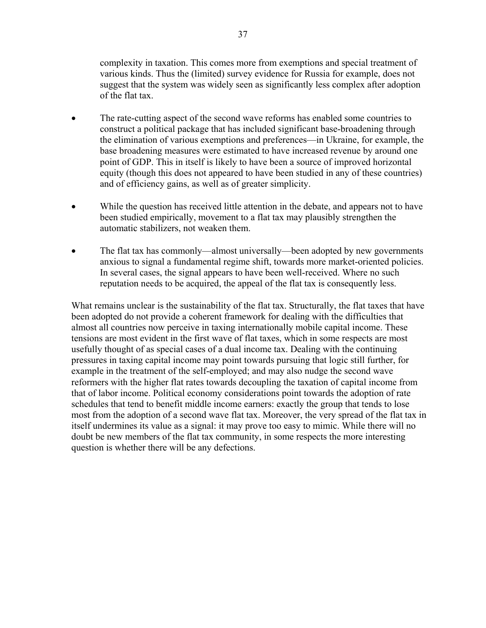complexity in taxation. This comes more from exemptions and special treatment of various kinds. Thus the (limited) survey evidence for Russia for example, does not suggest that the system was widely seen as significantly less complex after adoption of the flat tax.

- The rate-cutting aspect of the second wave reforms has enabled some countries to construct a political package that has included significant base-broadening through the elimination of various exemptions and preferences—in Ukraine, for example, the base broadening measures were estimated to have increased revenue by around one point of GDP. This in itself is likely to have been a source of improved horizontal equity (though this does not appeared to have been studied in any of these countries) and of efficiency gains, as well as of greater simplicity.
- While the question has received little attention in the debate, and appears not to have been studied empirically, movement to a flat tax may plausibly strengthen the automatic stabilizers, not weaken them.
- The flat tax has commonly—almost universally—been adopted by new governments anxious to signal a fundamental regime shift, towards more market-oriented policies. In several cases, the signal appears to have been well-received. Where no such reputation needs to be acquired, the appeal of the flat tax is consequently less.

What remains unclear is the sustainability of the flat tax. Structurally, the flat taxes that have been adopted do not provide a coherent framework for dealing with the difficulties that almost all countries now perceive in taxing internationally mobile capital income. These tensions are most evident in the first wave of flat taxes, which in some respects are most usefully thought of as special cases of a dual income tax. Dealing with the continuing pressures in taxing capital income may point towards pursuing that logic still further, for example in the treatment of the self-employed; and may also nudge the second wave reformers with the higher flat rates towards decoupling the taxation of capital income from that of labor income. Political economy considerations point towards the adoption of rate schedules that tend to benefit middle income earners: exactly the group that tends to lose most from the adoption of a second wave flat tax. Moreover, the very spread of the flat tax in itself undermines its value as a signal: it may prove too easy to mimic. While there will no doubt be new members of the flat tax community, in some respects the more interesting question is whether there will be any defections.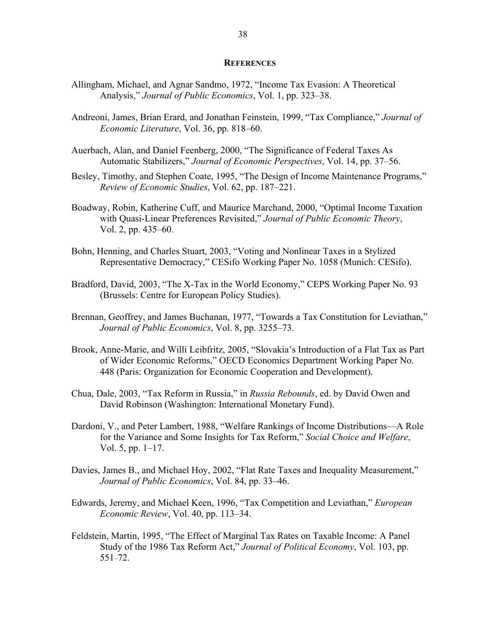#### **REFERENCES**

- Allingham, Michael, and Agnar Sandmo, 1972, "Income Tax Evasion: A Theoretical Analysis," *Journal of Public Economics*, Vol. 1, pp. 323–38.
- Andreoni, James, Brian Erard, and Jonathan Feinstein, 1999, "Tax Compliance," *Journal of Economic Literature*, Vol. 36, pp. 818–60.
- Auerbach, Alan, and Daniel Feenberg, 2000, "The Significance of Federal Taxes As Automatic Stabilizers," *Journal of Economic Perspectives*, Vol. 14, pp. 37–56.
- Besley, Timothy, and Stephen Coate, 1995, "The Design of Income Maintenance Programs," *Review of Economic Studies*, Vol. 62, pp. 187–221.
- Boadway, Robin, Katherine Cuff, and Maurice Marchand, 2000, "Optimal Income Taxation with Quasi-Linear Preferences Revisited," *Journal of Public Economic Theory*, Vol. 2, pp. 435–60.
- Bohn, Henning, and Charles Stuart, 2003, "Voting and Nonlinear Taxes in a Stylized Representative Democracy," CESifo Working Paper No. 1058 (Munich: CESifo).
- Bradford, David, 2003, "The X-Tax in the World Economy," CEPS Working Paper No. 93 (Brussels: Centre for European Policy Studies).
- Brennan, Geoffrey, and James Buchanan, 1977, "Towards a Tax Constitution for Leviathan," *Journal of Public Economics*, Vol. 8, pp. 3255–73.
- Brook, Anne-Marie, and Willi Leibfritz, 2005, "Slovakia's Introduction of a Flat Tax as Part of Wider Economic Reforms," OECD Economics Department Working Paper No. 448 (Paris: Organization for Economic Cooperation and Development).
- Chua, Dale, 2003, "Tax Reform in Russia," in *Russia Rebounds*, ed. by David Owen and David Robinson (Washington: International Monetary Fund).
- Dardoni, V., and Peter Lambert, 1988, "Welfare Rankings of Income Distributions—A Role for the Variance and Some Insights for Tax Reform," *Social Choice and Welfare*, Vol. 5, pp. 1–17.
- Davies, James B., and Michael Hoy, 2002, "Flat Rate Taxes and Inequality Measurement," *Journal of Public Economics*, Vol. 84, pp. 33–46.
- Edwards, Jeremy, and Michael Keen, 1996, "Tax Competition and Leviathan," *European Economic Review*, Vol. 40, pp. 113–34.
- Feldstein, Martin, 1995, "The Effect of Marginal Tax Rates on Taxable Income: A Panel Study of the 1986 Tax Reform Act," *Journal of Political Economy*, Vol. 103, pp. 551–72.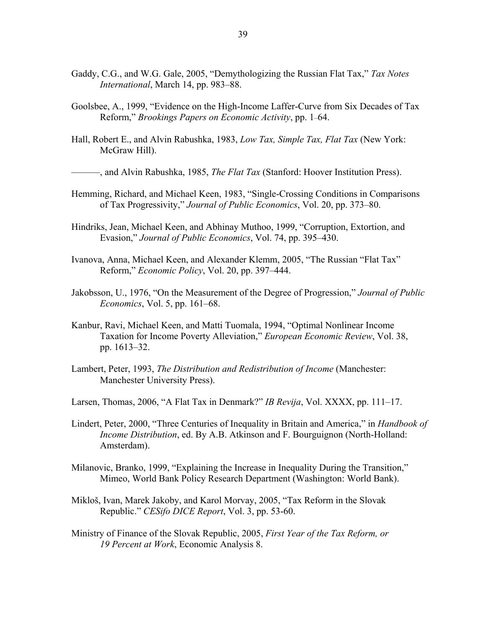- Gaddy, C.G., and W.G. Gale, 2005, "Demythologizing the Russian Flat Tax," *Tax Notes International*, March 14, pp. 983–88.
- Goolsbee, A., 1999, "Evidence on the High-Income Laffer-Curve from Six Decades of Tax Reform," *Brookings Papers on Economic Activity*, pp. 1–64.
- Hall, Robert E., and Alvin Rabushka, 1983, *Low Tax, Simple Tax, Flat Tax* (New York: McGraw Hill).

———, and Alvin Rabushka, 1985, *The Flat Tax* (Stanford: Hoover Institution Press).

- Hemming, Richard, and Michael Keen, 1983, "Single-Crossing Conditions in Comparisons of Tax Progressivity," *Journal of Public Economics*, Vol. 20, pp. 373–80.
- Hindriks, Jean, Michael Keen, and Abhinay Muthoo, 1999, "Corruption, Extortion, and Evasion," *Journal of Public Economics*, Vol. 74, pp. 395–430.
- Ivanova, Anna, Michael Keen, and Alexander Klemm, 2005, "The Russian "Flat Tax" Reform," *Economic Policy*, Vol. 20, pp. 397–444.
- Jakobsson, U., 1976, "On the Measurement of the Degree of Progression," *Journal of Public Economics*, Vol. 5, pp. 161–68.
- Kanbur, Ravi, Michael Keen, and Matti Tuomala, 1994, "Optimal Nonlinear Income Taxation for Income Poverty Alleviation," *European Economic Review*, Vol. 38, pp. 1613–32.
- Lambert, Peter, 1993, *The Distribution and Redistribution of Income* (Manchester: Manchester University Press).
- Larsen, Thomas, 2006, "A Flat Tax in Denmark?" *IB Revija*, Vol. XXXX, pp. 111–17.
- Lindert, Peter, 2000, "Three Centuries of Inequality in Britain and America," in *Handbook of Income Distribution*, ed. By A.B. Atkinson and F. Bourguignon (North-Holland: Amsterdam).
- Milanovic, Branko, 1999, "Explaining the Increase in Inequality During the Transition," Mimeo, World Bank Policy Research Department (Washington: World Bank).
- Mikloš, Ivan, Marek Jakoby, and Karol Morvay, 2005, "Tax Reform in the Slovak Republic." *CESifo DICE Report*, Vol. 3, pp. 53-60.
- Ministry of Finance of the Slovak Republic, 2005, *First Year of the Tax Reform, or 19 Percent at Work*, Economic Analysis 8.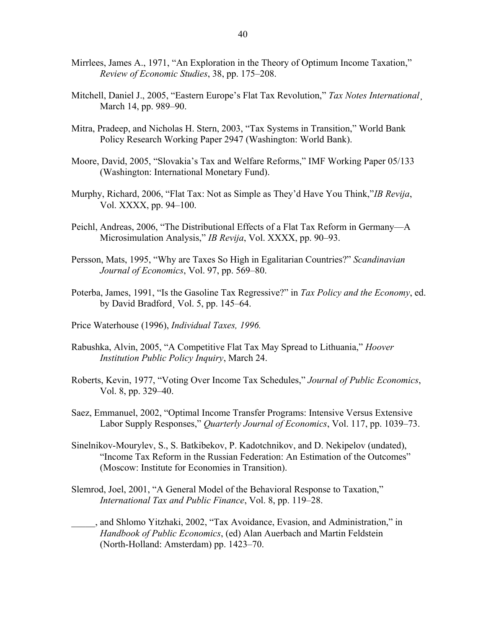- Mirrlees, James A., 1971, "An Exploration in the Theory of Optimum Income Taxation," *Review of Economic Studies*, 38, pp. 175–208.
- Mitchell, Daniel J., 2005, "Eastern Europe's Flat Tax Revolution," *Tax Notes International*¸ March 14, pp. 989–90.
- Mitra, Pradeep, and Nicholas H. Stern, 2003, "Tax Systems in Transition," World Bank Policy Research Working Paper 2947 (Washington: World Bank).
- Moore, David, 2005, "Slovakia's Tax and Welfare Reforms," IMF Working Paper 05/133 (Washington: International Monetary Fund).
- Murphy, Richard, 2006, "Flat Tax: Not as Simple as They'd Have You Think,"*IB Revija*, Vol. XXXX, pp. 94–100.
- Peichl, Andreas, 2006, "The Distributional Effects of a Flat Tax Reform in Germany—A Microsimulation Analysis," *IB Revija*, Vol. XXXX, pp. 90–93.
- Persson, Mats, 1995, "Why are Taxes So High in Egalitarian Countries?" *Scandinavian Journal of Economics*, Vol. 97, pp. 569–80.
- Poterba, James, 1991, "Is the Gasoline Tax Regressive?" in *Tax Policy and the Economy*, ed. by David Bradford¸ Vol. 5, pp. 145–64.
- Price Waterhouse (1996), *Individual Taxes, 1996.*
- Rabushka, Alvin, 2005, "A Competitive Flat Tax May Spread to Lithuania," *Hoover Institution Public Policy Inquiry*, March 24.
- Roberts, Kevin, 1977, "Voting Over Income Tax Schedules," *Journal of Public Economics*, Vol. 8, pp. 329–40.
- Saez, Emmanuel, 2002, "Optimal Income Transfer Programs: Intensive Versus Extensive Labor Supply Responses," *Quarterly Journal of Economics*, Vol. 117, pp. 1039–73.
- Sinelnikov-Mourylev, S., S. Batkibekov, P. Kadotchnikov, and D. Nekipelov (undated), "Income Tax Reform in the Russian Federation: An Estimation of the Outcomes" (Moscow: Institute for Economies in Transition).
- Slemrod, Joel, 2001, "A General Model of the Behavioral Response to Taxation," *International Tax and Public Finance*, Vol. 8, pp. 119–28.
- \_\_\_\_\_, and Shlomo Yitzhaki, 2002, "Tax Avoidance, Evasion, and Administration," in *Handbook of Public Economics*, (ed) Alan Auerbach and Martin Feldstein (North-Holland: Amsterdam) pp. 1423–70.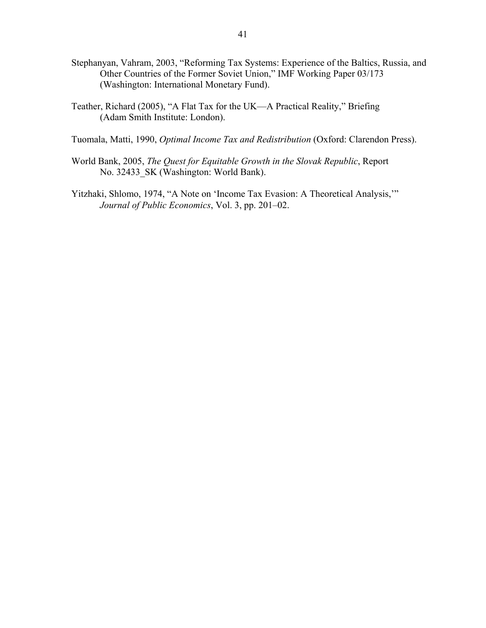- Stephanyan, Vahram, 2003, "Reforming Tax Systems: Experience of the Baltics, Russia, and Other Countries of the Former Soviet Union," IMF Working Paper 03/173 (Washington: International Monetary Fund).
- Teather, Richard (2005), "A Flat Tax for the UK—A Practical Reality," Briefing (Adam Smith Institute: London).
- Tuomala, Matti, 1990, *Optimal Income Tax and Redistribution* (Oxford: Clarendon Press).
- World Bank, 2005, *The Quest for Equitable Growth in the Slovak Republic*, Report No. 32433 SK (Washington: World Bank).
- Yitzhaki, Shlomo, 1974, "A Note on 'Income Tax Evasion: A Theoretical Analysis,'" *Journal of Public Economics*, Vol. 3, pp. 201–02.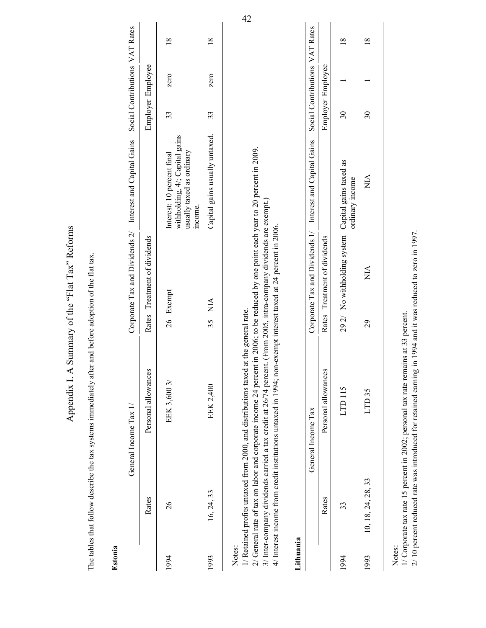| Social Contributions VAT Rates<br>Employer Employee<br>Employer Employee<br>Social Contributions<br>zero<br>zero<br>$\overline{\mathcal{E}}$<br>33<br>33<br>$\overline{\mathcal{E}}$<br>Capital gains usually untaxed.<br>withholding, 4/; Capital gains<br>Interest and Capital Gains<br>Interest and Capital Gains<br>2/ General rate of tax on labor and corporate income 24 percent in 2006; to be reduced by one point each year to 20 percent in 2009.<br>usually taxed as ordinary<br>Interest: 10 percent final<br>Capital gains taxed as<br>ŃIN<br>ordinary income<br>3/ Inter-company dividends carried a tax credit at 26/74 percent. (From 2005, intra-company dividends are exempt.)<br>income.<br>4/ Interest income from credit institutions untaxed in 1994; non-exempt interest taxed at 24 percent in 2006<br>Corporate Tax and Dividends 1/<br>Corporate Tax and Dividends 2/<br>No withholding system<br>Rates Treatment of dividends<br>Rates Treatment of dividends<br>ŃIN<br>26 Exempt<br>$\sum_{i=1}^{n}$<br>1/ Retained profits untaxed from 2000, and distributions taxed at the general rate.<br>292/<br>35<br>29<br>Personal allowances<br>Personal allowances<br>EEK 3,600 3/<br>EEK 2,400<br>LTD 115<br>LTD <sub>35</sub><br>General Income Tax 1/<br>General Income Tax<br>10, 18, 24, 28, 33<br>16, 24, 33<br>Rates<br>Rates<br>26<br>33<br>Lithuania<br>Estonia<br>Notes:<br>1994<br>1993<br>1993<br>1994 | Summary of the "Flat Tax" Reforms |                 |
|--------------------------------------------------------------------------------------------------------------------------------------------------------------------------------------------------------------------------------------------------------------------------------------------------------------------------------------------------------------------------------------------------------------------------------------------------------------------------------------------------------------------------------------------------------------------------------------------------------------------------------------------------------------------------------------------------------------------------------------------------------------------------------------------------------------------------------------------------------------------------------------------------------------------------------------------------------------------------------------------------------------------------------------------------------------------------------------------------------------------------------------------------------------------------------------------------------------------------------------------------------------------------------------------------------------------------------------------------------------------------------------------------------------------------------------------|-----------------------------------|-----------------|
|                                                                                                                                                                                                                                                                                                                                                                                                                                                                                                                                                                                                                                                                                                                                                                                                                                                                                                                                                                                                                                                                                                                                                                                                                                                                                                                                                                                                                                            |                                   |                 |
|                                                                                                                                                                                                                                                                                                                                                                                                                                                                                                                                                                                                                                                                                                                                                                                                                                                                                                                                                                                                                                                                                                                                                                                                                                                                                                                                                                                                                                            |                                   |                 |
|                                                                                                                                                                                                                                                                                                                                                                                                                                                                                                                                                                                                                                                                                                                                                                                                                                                                                                                                                                                                                                                                                                                                                                                                                                                                                                                                                                                                                                            |                                   |                 |
|                                                                                                                                                                                                                                                                                                                                                                                                                                                                                                                                                                                                                                                                                                                                                                                                                                                                                                                                                                                                                                                                                                                                                                                                                                                                                                                                                                                                                                            |                                   | $\overline{18}$ |
|                                                                                                                                                                                                                                                                                                                                                                                                                                                                                                                                                                                                                                                                                                                                                                                                                                                                                                                                                                                                                                                                                                                                                                                                                                                                                                                                                                                                                                            |                                   | 18              |
|                                                                                                                                                                                                                                                                                                                                                                                                                                                                                                                                                                                                                                                                                                                                                                                                                                                                                                                                                                                                                                                                                                                                                                                                                                                                                                                                                                                                                                            |                                   |                 |
|                                                                                                                                                                                                                                                                                                                                                                                                                                                                                                                                                                                                                                                                                                                                                                                                                                                                                                                                                                                                                                                                                                                                                                                                                                                                                                                                                                                                                                            |                                   | VAT Rates       |
|                                                                                                                                                                                                                                                                                                                                                                                                                                                                                                                                                                                                                                                                                                                                                                                                                                                                                                                                                                                                                                                                                                                                                                                                                                                                                                                                                                                                                                            |                                   |                 |
|                                                                                                                                                                                                                                                                                                                                                                                                                                                                                                                                                                                                                                                                                                                                                                                                                                                                                                                                                                                                                                                                                                                                                                                                                                                                                                                                                                                                                                            |                                   | 18              |
|                                                                                                                                                                                                                                                                                                                                                                                                                                                                                                                                                                                                                                                                                                                                                                                                                                                                                                                                                                                                                                                                                                                                                                                                                                                                                                                                                                                                                                            |                                   | $18\,$          |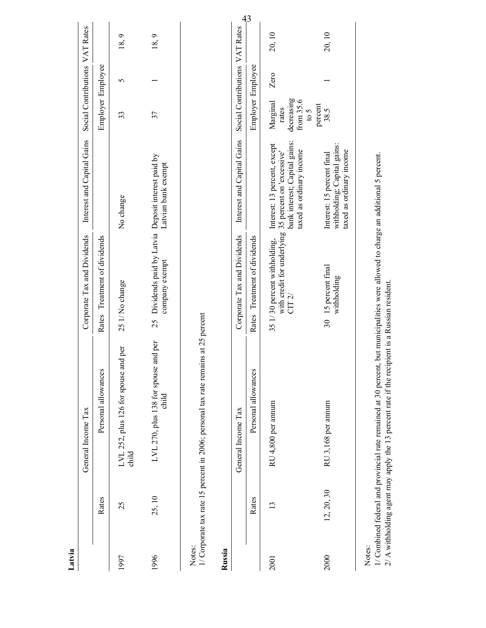| Social Contributions VAT Rates<br>Employer Employee<br>Employer Employee<br>Zero<br>5<br>decreasing<br>from 35.6<br>Marginal<br>percent<br>rates<br>$\frac{5}{5}$<br>38.5<br>33<br>37<br>Interest and Capital Gains<br>bank interest; Capital gains:<br>withholding; Capital gains:<br>Interest: 13 percent, except<br>taxed as ordinary income<br>taxed as ordinary income<br>with credit for underlying 35 percent on 'excessive'<br>Interest: 15 percent final<br>Dividends paid by Latvia Deposit interest paid by<br>Latvian bank exempt<br>No change<br>Corporate Tax and Dividends<br>Treatment of dividends<br>Treatment of dividends<br>35 1/30 percent withholding,<br>company exempt<br>30 15 percent final<br>withholding<br>25 1/No change<br>CT2/<br>Rates<br>1/ Corporate tax rate 15 percent in 2006; personal tax rate remains at 25 percent<br>Rates<br>25<br>LVL 270, plus 138 for spouse and per<br>and per<br>Personal allowances<br>Personal allowances<br>LVL 252, plus 126 for spouse<br>child<br>RU 3,168 per annum<br>RU 4,800 per annum<br>General Income Tax<br>child<br>12, 20, 30<br>25,10<br>Rates<br>Rates<br>25<br>13<br>Notes:<br>Russia<br>1996<br>2000<br>1997<br>2001 |  | General Income Tax | Corporate Tax and Dividends | Interest and Capital Gains | Social Contributions VAT Rates |          |
|------------------------------------------------------------------------------------------------------------------------------------------------------------------------------------------------------------------------------------------------------------------------------------------------------------------------------------------------------------------------------------------------------------------------------------------------------------------------------------------------------------------------------------------------------------------------------------------------------------------------------------------------------------------------------------------------------------------------------------------------------------------------------------------------------------------------------------------------------------------------------------------------------------------------------------------------------------------------------------------------------------------------------------------------------------------------------------------------------------------------------------------------------------------------------------------------------------|--|--------------------|-----------------------------|----------------------------|--------------------------------|----------|
|                                                                                                                                                                                                                                                                                                                                                                                                                                                                                                                                                                                                                                                                                                                                                                                                                                                                                                                                                                                                                                                                                                                                                                                                            |  |                    |                             |                            |                                |          |
|                                                                                                                                                                                                                                                                                                                                                                                                                                                                                                                                                                                                                                                                                                                                                                                                                                                                                                                                                                                                                                                                                                                                                                                                            |  |                    |                             |                            |                                | ٩<br>18, |
|                                                                                                                                                                                                                                                                                                                                                                                                                                                                                                                                                                                                                                                                                                                                                                                                                                                                                                                                                                                                                                                                                                                                                                                                            |  |                    |                             |                            |                                | 18,9     |
|                                                                                                                                                                                                                                                                                                                                                                                                                                                                                                                                                                                                                                                                                                                                                                                                                                                                                                                                                                                                                                                                                                                                                                                                            |  |                    |                             |                            |                                |          |
|                                                                                                                                                                                                                                                                                                                                                                                                                                                                                                                                                                                                                                                                                                                                                                                                                                                                                                                                                                                                                                                                                                                                                                                                            |  |                    |                             |                            |                                |          |
|                                                                                                                                                                                                                                                                                                                                                                                                                                                                                                                                                                                                                                                                                                                                                                                                                                                                                                                                                                                                                                                                                                                                                                                                            |  |                    |                             |                            |                                | 43       |
|                                                                                                                                                                                                                                                                                                                                                                                                                                                                                                                                                                                                                                                                                                                                                                                                                                                                                                                                                                                                                                                                                                                                                                                                            |  |                    |                             |                            |                                | 20,10    |
|                                                                                                                                                                                                                                                                                                                                                                                                                                                                                                                                                                                                                                                                                                                                                                                                                                                                                                                                                                                                                                                                                                                                                                                                            |  |                    |                             |                            |                                | 20,10    |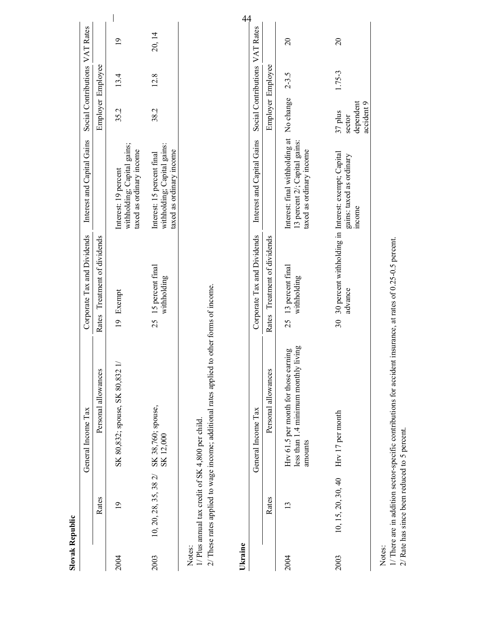|                                                        |                                                  | General Income Tax                                                                                           | Corporate Tax and Dividends                                                       | Interest and Capital Gains                                                                  | Social Contributions VAT Rates                      |           |                 |
|--------------------------------------------------------|--------------------------------------------------|--------------------------------------------------------------------------------------------------------------|-----------------------------------------------------------------------------------|---------------------------------------------------------------------------------------------|-----------------------------------------------------|-----------|-----------------|
|                                                        | Rates                                            | Personal allowances                                                                                          | Rates Treatment of dividends                                                      |                                                                                             | Employer Employee                                   |           |                 |
| 2004                                                   | $\overline{19}$                                  | SK 80,832; spouse, SK 80,832                                                                                 | Exempt<br>$\overline{19}$                                                         | withholding; Capital gains;<br>taxed as ordinary income<br>Interest: 19 percent             | 35.2                                                | 13.4      | $\overline{19}$ |
| 2003                                                   | 10, 20, 28, 35, 38 $2/$                          | SK 38,760; spouse,<br>SK 12,000                                                                              | 15 percent final<br>withholding<br>25                                             | withholding; Capital gains:<br>taxed as ordinary income<br>Interest: 15 percent final       | 38.2                                                | 12.8      | 20, 14          |
|                                                        | 1/ Plus annual tax credit of SK 4,800 per child. | 2/ These rates applied to wage income; additional rates applied to other forms of income.                    |                                                                                   |                                                                                             |                                                     |           |                 |
| Ukraine                                                |                                                  |                                                                                                              |                                                                                   |                                                                                             |                                                     |           | 44              |
|                                                        | Rates                                            | Personal allowances<br>General Income Tax                                                                    | Corporate Tax and Dividends<br>Rates Treatment of dividends                       | Interest and Capital Gains                                                                  | Social Contributions VAT Rates<br>Employer Employee |           |                 |
| 2004                                                   | 13                                               | less than 1.4 minimum monthly living<br>Hrv 61.5 per month for those earning<br>amounts                      | 13 percent final<br>withholding<br>25                                             | Interest: final withholding at<br>13 percent 2/; Capital gains:<br>taxed as ordinary income | No change                                           | $2 - 3.5$ | $\overline{c}$  |
| 2003                                                   | 10, 15, 20, 30, 40                               | Hrv 17 per month                                                                                             | 30 percent withholding in Interest: exempt; Capital<br>advance<br>$\overline{30}$ | gains: taxed as ordinary<br>income                                                          | dependent<br>accident 9<br>37 plus<br>sector        | 1.75-3    | $\overline{c}$  |
| 2/ Rate has since been reduced to 5 percent.<br>Notes: |                                                  | 1/ There are in addition sector-specific contributions for accident insurance, at rates of 0.25-0.5 percent. |                                                                                   |                                                                                             |                                                     |           |                 |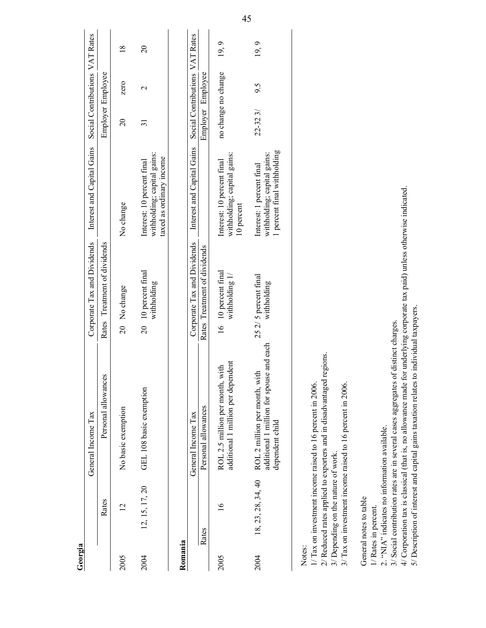| Georgia |                                                                                                                                      |                                                                                                                                                                                                                                                                                                                                                                                                                |                                                     |                                                                                         |                                 |                 |
|---------|--------------------------------------------------------------------------------------------------------------------------------------|----------------------------------------------------------------------------------------------------------------------------------------------------------------------------------------------------------------------------------------------------------------------------------------------------------------------------------------------------------------------------------------------------------------|-----------------------------------------------------|-----------------------------------------------------------------------------------------|---------------------------------|-----------------|
|         |                                                                                                                                      | General Income Tax                                                                                                                                                                                                                                                                                                                                                                                             | Corporate Tax and Dividends                         | Interest and Capital Gains                                                              | Social Contributions VAT Rates  |                 |
|         | Rates                                                                                                                                | Personal allowances                                                                                                                                                                                                                                                                                                                                                                                            | Treatment of dividends<br>Rates                     |                                                                                         | Employer Employee               |                 |
| 2005    | $\overline{2}$                                                                                                                       | No basic exemption                                                                                                                                                                                                                                                                                                                                                                                             | No change<br>$\overline{20}$                        | No change                                                                               | zero<br>$\Omega$                | $\overline{18}$ |
| 2004    | 12, 15, 17, 20                                                                                                                       | GEL 108 basic exemption                                                                                                                                                                                                                                                                                                                                                                                        | 10 percent final<br>withholding<br>$\overline{20}$  | withholding; capital gains:<br>taxed as ordinary income<br>Interest: 10 percent final   | $\mathbf{C}$<br>$\overline{31}$ | $\Omega$        |
| Romania |                                                                                                                                      |                                                                                                                                                                                                                                                                                                                                                                                                                |                                                     |                                                                                         |                                 |                 |
|         |                                                                                                                                      | General Income Tax                                                                                                                                                                                                                                                                                                                                                                                             | Corporate Tax and Dividends                         | Interest and Capital Gains                                                              | Social Contributions            | VAT Rates       |
|         | Rates                                                                                                                                | Personal allowances                                                                                                                                                                                                                                                                                                                                                                                            | Rates Treatment of dividends                        |                                                                                         | Employer Employee               |                 |
| 2005    | $\frac{6}{1}$                                                                                                                        | additional 1 million per dependent<br>ROL 2.5 million per month, with                                                                                                                                                                                                                                                                                                                                          | 10 percent final<br>withholding 1/<br>$\frac{6}{2}$ | withholding; capital gains:<br>Interest: 10 percent final<br>10 percent                 | no change no change             | 19, 9           |
| 2004    | 18, 23, 28, 34, 40                                                                                                                   | additional 1 million for spouse and each<br>with<br>ROL 2 million per month,<br>dependent child                                                                                                                                                                                                                                                                                                                | 25 2/5 percent final<br>withholding                 | 1 percent final withholding<br>withholding; capital gains:<br>Interest: 1 percent final | 9.5<br>$22 - 323$               | 19, 9           |
| Notes:  | 2. "NIA" indicates no information available.<br>3/ Depending on the nature of work<br>General notes to table<br>1/ Rates in percent. | 4/ Corporation tax is classical (that is, no allowance made for underlying corporate tax paid) unless otherwise indicated.<br>3/ Social contribution rates are in several cases aggregates of distinct charges.<br>2/ Reduced rates applied to exporters and in disadvantaged regions.<br>1/ Tax on investment income raised to 16 percent in 2006<br>3/ Tax on investment income raised to 16 percent in 2006 |                                                     |                                                                                         |                                 |                 |
|         |                                                                                                                                      | 5/ Description of interest and capital gains taxation relates to individual taxpayers.                                                                                                                                                                                                                                                                                                                         |                                                     |                                                                                         |                                 |                 |

45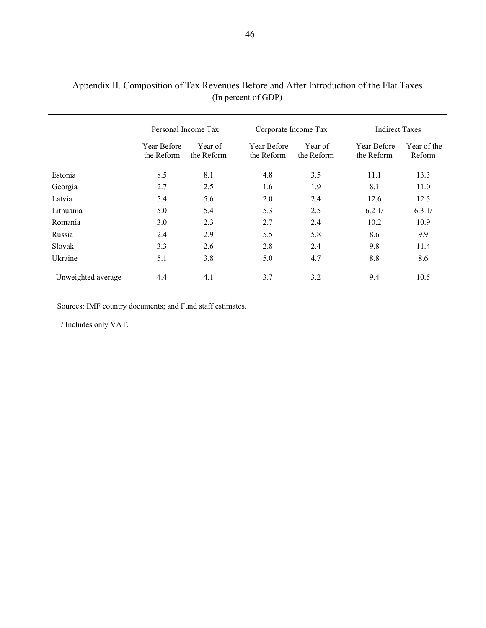|                    |                           | Personal Income Tax   | Corporate Income Tax             |                       | <b>Indirect Taxes</b>            |                       |
|--------------------|---------------------------|-----------------------|----------------------------------|-----------------------|----------------------------------|-----------------------|
|                    | Year Before<br>the Reform | Year of<br>the Reform | <b>Year Before</b><br>the Reform | Year of<br>the Reform | <b>Year Before</b><br>the Reform | Year of the<br>Reform |
|                    |                           |                       |                                  |                       |                                  |                       |
| Estonia            | 8.5                       | 8.1                   | 4.8                              | 3.5                   | 11.1                             | 13.3                  |
| Georgia            | 2.7                       | 2.5                   | 1.6                              | 1.9                   | 8.1                              | 11.0                  |
| Latvia             | 5.4                       | 5.6                   | 2.0                              | 2.4                   | 12.6                             | 12.5                  |
| Lithuania          | 5.0                       | 5.4                   | 5.3                              | 2.5                   | 6.21/                            | 6.31/                 |
| Romania            | 3.0                       | 2.3                   | 2.7                              | 2.4                   | 10.2                             | 10.9                  |
| Russia             | 2.4                       | 2.9                   | 5.5                              | 5.8                   | 8.6                              | 9.9                   |
| Slovak             | 3.3                       | 2.6                   | 2.8                              | 2.4                   | 9.8                              | 11.4                  |
| Ukraine            | 5.1                       | 3.8                   | 5.0                              | 4.7                   | 8.8                              | 8.6                   |
| Unweighted average | 4.4                       | 4.1                   | 3.7                              | 3.2                   | 9.4                              | 10.5                  |

# Appendix II. Composition of Tax Revenues Before and After Introduction of the Flat Taxes (In percent of GDP)

Sources: IMF country documents; and Fund staff estimates.

1/ Includes only VAT.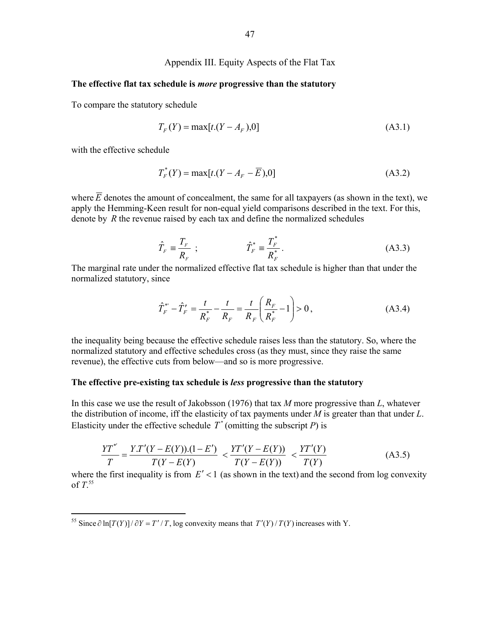Appendix III. Equity Aspects of the Flat Tax

#### **The effective flat tax schedule is** *more* **progressive than the statutory**

To compare the statutory schedule

$$
T_F(Y) = \max[t.(Y - A_F), 0]
$$
 (A3.1)

with the effective schedule

 $\overline{a}$ 

$$
T_F^*(Y) = \max[t \cdot (Y - A_F - \overline{E}), 0] \tag{A3.2}
$$

where  $\overline{E}$  denotes the amount of concealment, the same for all taxpayers (as shown in the text), we apply the Hemming-Keen result for non-equal yield comparisons described in the text. For this, denote by *R* the revenue raised by each tax and define the normalized schedules

$$
\hat{T}_F = \frac{T_F}{R_F} ; \qquad \hat{T}_F^* = \frac{T_F^*}{R_F^*}.
$$
\n(A3.3)

The marginal rate under the normalized effective flat tax schedule is higher than that under the normalized statutory, since

$$
\hat{T}_F^* - \hat{T}_F' = \frac{t}{R_F^*} - \frac{t}{R_F} = \frac{t}{R_F} \left( \frac{R_F}{R_F^*} - 1 \right) > 0, \tag{A3.4}
$$

the inequality being because the effective schedule raises less than the statutory. So, where the normalized statutory and effective schedules cross (as they must, since they raise the same revenue), the effective cuts from below—and so is more progressive.

#### **The effective pre-existing tax schedule is** *less* **progressive than the statutory**

In this case we use the result of Jakobsson (1976) that tax *M* more progressive than *L*, whatever the distribution of income, iff the elasticity of tax payments under *M* is greater than that under *L*. Elasticity under the effective schedule  $T^*$  (omitting the subscript *P*) is

$$
\frac{YT^{*}}{T} = \frac{YT'(Y - E(Y)).(1 - E')}{T(Y - E(Y))} < \frac{YT'(Y - E(Y))}{T(Y - E(Y))} < \frac{YT'(Y)}{T(Y)}
$$
(A3.5)

where the first inequality is from  $E' < 1$  (as shown in the text) and the second from log convexity of *T*. 55

<sup>&</sup>lt;sup>55</sup> Since  $\partial \ln[T(Y)] / \partial Y = T' / T$ , log convexity means that  $T'(Y) / T(Y)$  increases with Y.